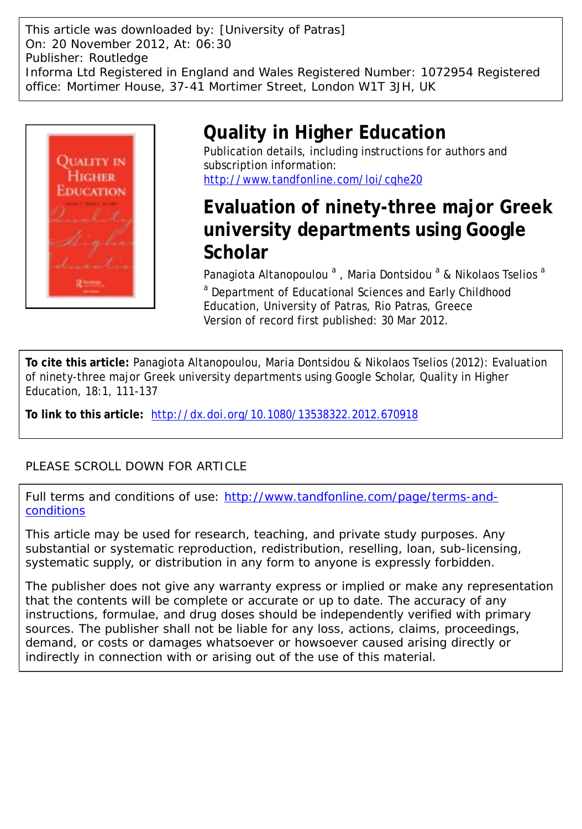This article was downloaded by: [University of Patras] On: 20 November 2012, At: 06:30 Publisher: Routledge Informa Ltd Registered in England and Wales Registered Number: 1072954 Registered office: Mortimer House, 37-41 Mortimer Street, London W1T 3JH, UK



# **Quality in Higher Education**

Publication details, including instructions for authors and subscription information: <http://www.tandfonline.com/loi/cqhe20>

# **Evaluation of ninety-three major Greek university departments using Google Scholar**

Panagiota Altanopoulou<sup>a</sup>, Maria Dontsidou<sup>a</sup> & Nikolaos Tselios<sup>a</sup> <sup>a</sup> Department of Educational Sciences and Early Childhood Education, University of Patras, Rio Patras, Greece Version of record first published: 30 Mar 2012.

**To cite this article:** Panagiota Altanopoulou, Maria Dontsidou & Nikolaos Tselios (2012): Evaluation of ninety-three major Greek university departments using Google Scholar, Quality in Higher Education, 18:1, 111-137

**To link to this article:** <http://dx.doi.org/10.1080/13538322.2012.670918>

## PLEASE SCROLL DOWN FOR ARTICLE

Full terms and conditions of use: [http://www.tandfonline.com/page/terms-and](http://www.tandfonline.com/page/terms-and-conditions)[conditions](http://www.tandfonline.com/page/terms-and-conditions)

This article may be used for research, teaching, and private study purposes. Any substantial or systematic reproduction, redistribution, reselling, loan, sub-licensing, systematic supply, or distribution in any form to anyone is expressly forbidden.

The publisher does not give any warranty express or implied or make any representation that the contents will be complete or accurate or up to date. The accuracy of any instructions, formulae, and drug doses should be independently verified with primary sources. The publisher shall not be liable for any loss, actions, claims, proceedings, demand, or costs or damages whatsoever or howsoever caused arising directly or indirectly in connection with or arising out of the use of this material.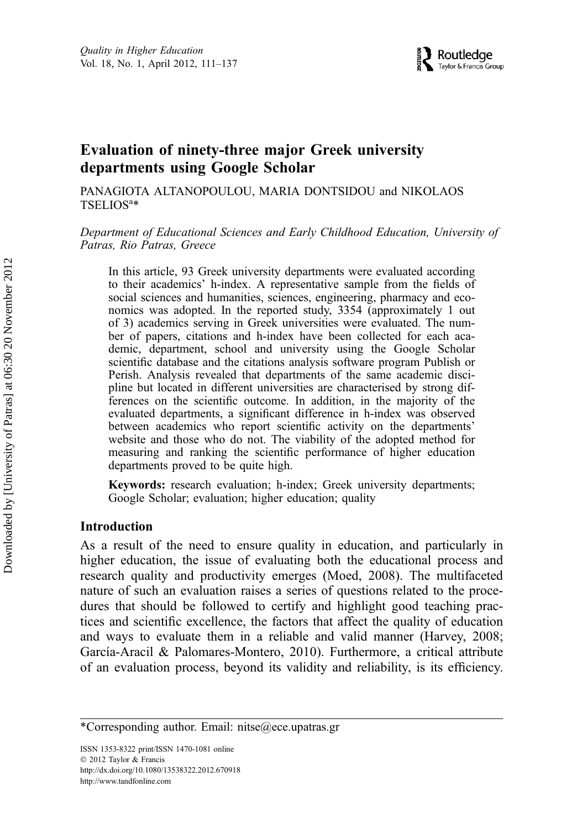## Evaluation of ninety-three major Greek university departments using Google Scholar

PANAGIOTA ALTANOPOULOU, MARIA DONTSIDOU and NIKOLAOS TSELIOS<sup>a</sup>\*

Department of Educational Sciences and Early Childhood Education, University of Patras, Rio Patras, Greece

In this article, 93 Greek university departments were evaluated according to their academics' h-index. A representative sample from the fields of social sciences and humanities, sciences, engineering, pharmacy and economics was adopted. In the reported study, 3354 (approximately 1 out of 3) academics serving in Greek universities were evaluated. The number of papers, citations and h-index have been collected for each academic, department, school and university using the Google Scholar scientific database and the citations analysis software program Publish or Perish. Analysis revealed that departments of the same academic discipline but located in different universities are characterised by strong differences on the scientific outcome. In addition, in the majority of the evaluated departments, a significant difference in h-index was observed between academics who report scientific activity on the departments' website and those who do not. The viability of the adopted method for measuring and ranking the scientific performance of higher education departments proved to be quite high.

Keywords: research evaluation; h-index; Greek university departments; Google Scholar; evaluation; higher education; quality

## Introduction

As a result of the need to ensure quality in education, and particularly in higher education, the issue of evaluating both the educational process and research quality and productivity emerges (Moed, 2008). The multifaceted nature of such an evaluation raises a series of questions related to the procedures that should be followed to certify and highlight good teaching practices and scientific excellence, the factors that affect the quality of education and ways to evaluate them in a reliable and valid manner (Harvey, 2008; García-Aracil & Palomares-Montero, 2010). Furthermore, a critical attribute of an evaluation process, beyond its validity and reliability, is its efficiency.

<sup>\*</sup>Corresponding author. Email: nitse@ece.upatras.gr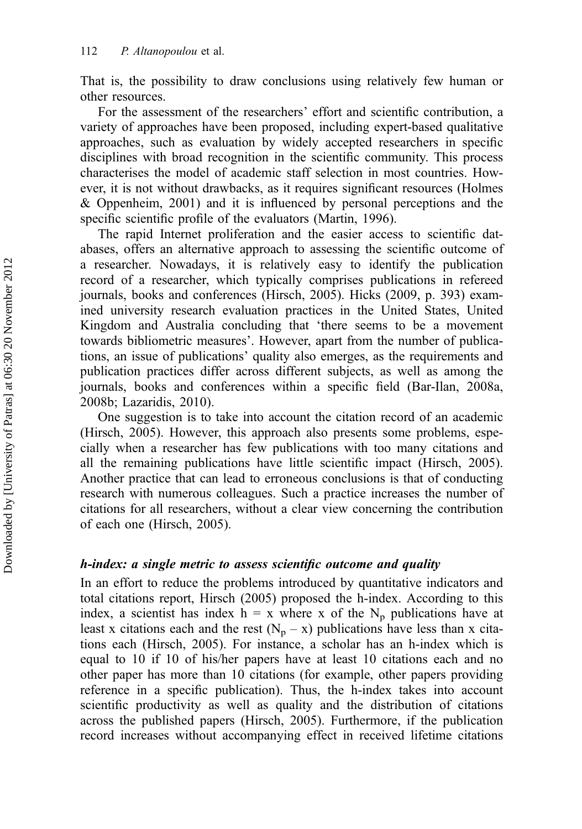That is, the possibility to draw conclusions using relatively few human or other resources.

For the assessment of the researchers' effort and scientific contribution, a variety of approaches have been proposed, including expert-based qualitative approaches, such as evaluation by widely accepted researchers in specific disciplines with broad recognition in the scientific community. This process characterises the model of academic staff selection in most countries. However, it is not without drawbacks, as it requires significant resources (Holmes & Oppenheim, 2001) and it is influenced by personal perceptions and the specific scientific profile of the evaluators (Martin, 1996).

The rapid Internet proliferation and the easier access to scientific databases, offers an alternative approach to assessing the scientific outcome of a researcher. Nowadays, it is relatively easy to identify the publication record of a researcher, which typically comprises publications in refereed journals, books and conferences (Hirsch, 2005). Hicks (2009, p. 393) examined university research evaluation practices in the United States, United Kingdom and Australia concluding that 'there seems to be a movement towards bibliometric measures'. However, apart from the number of publications, an issue of publications' quality also emerges, as the requirements and publication practices differ across different subjects, as well as among the journals, books and conferences within a specific field (Bar-Ilan, 2008a, 2008b; Lazaridis, 2010).

One suggestion is to take into account the citation record of an academic (Hirsch, 2005). However, this approach also presents some problems, especially when a researcher has few publications with too many citations and all the remaining publications have little scientific impact (Hirsch, 2005). Another practice that can lead to erroneous conclusions is that of conducting research with numerous colleagues. Such a practice increases the number of citations for all researchers, without a clear view concerning the contribution of each one (Hirsch, 2005).

## h-index: a single metric to assess scientific outcome and quality

In an effort to reduce the problems introduced by quantitative indicators and total citations report, Hirsch (2005) proposed the h-index. According to this index, a scientist has index  $h = x$  where x of the N<sub>p</sub> publications have at least x citations each and the rest  $(N_p - x)$  publications have less than x citations each (Hirsch, 2005). For instance, a scholar has an h-index which is equal to 10 if 10 of his/her papers have at least 10 citations each and no other paper has more than 10 citations (for example, other papers providing reference in a specific publication). Thus, the h-index takes into account scientific productivity as well as quality and the distribution of citations across the published papers (Hirsch, 2005). Furthermore, if the publication record increases without accompanying effect in received lifetime citations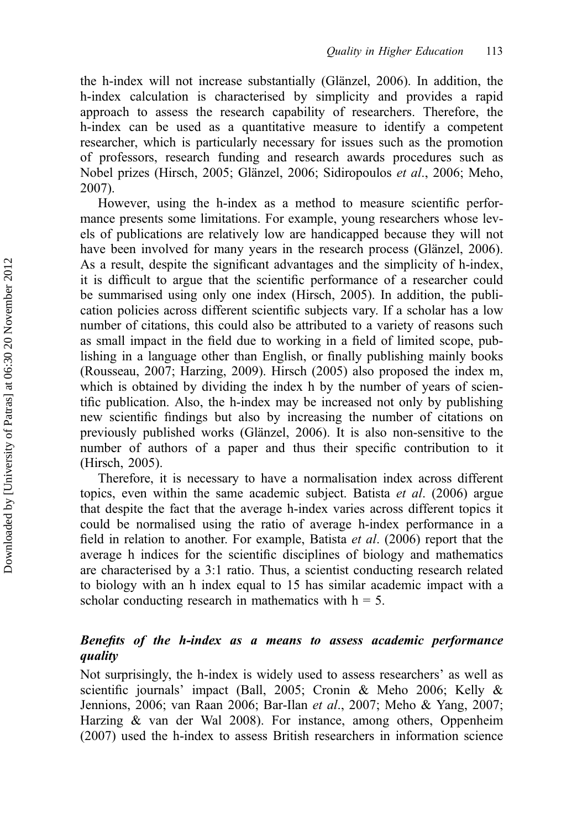the h-index will not increase substantially (Glänzel, 2006). In addition, the h-index calculation is characterised by simplicity and provides a rapid approach to assess the research capability of researchers. Therefore, the h-index can be used as a quantitative measure to identify a competent researcher, which is particularly necessary for issues such as the promotion of professors, research funding and research awards procedures such as Nobel prizes (Hirsch, 2005; Glänzel, 2006; Sidiropoulos et al., 2006; Meho, 2007).

However, using the h-index as a method to measure scientific performance presents some limitations. For example, young researchers whose levels of publications are relatively low are handicapped because they will not have been involved for many years in the research process (Glänzel, 2006). As a result, despite the significant advantages and the simplicity of h-index, it is difficult to argue that the scientific performance of a researcher could be summarised using only one index (Hirsch, 2005). In addition, the publication policies across different scientific subjects vary. If a scholar has a low number of citations, this could also be attributed to a variety of reasons such as small impact in the field due to working in a field of limited scope, publishing in a language other than English, or finally publishing mainly books (Rousseau, 2007; Harzing, 2009). Hirsch (2005) also proposed the index m, which is obtained by dividing the index h by the number of years of scientific publication. Also, the h-index may be increased not only by publishing new scientific findings but also by increasing the number of citations on previously published works (Glänzel, 2006). It is also non-sensitive to the number of authors of a paper and thus their specific contribution to it (Hirsch, 2005).

Therefore, it is necessary to have a normalisation index across different topics, even within the same academic subject. Batista *et al.* (2006) argue that despite the fact that the average h-index varies across different topics it could be normalised using the ratio of average h-index performance in a field in relation to another. For example, Batista et al. (2006) report that the average h indices for the scientific disciplines of biology and mathematics are characterised by a 3:1 ratio. Thus, a scientist conducting research related to biology with an h index equal to 15 has similar academic impact with a scholar conducting research in mathematics with  $h = 5$ .

## Benefits of the h-index as a means to assess academic performance quality

Not surprisingly, the h-index is widely used to assess researchers' as well as scientific journals' impact (Ball, 2005; Cronin & Meho 2006; Kelly & Jennions, 2006; van Raan 2006; Bar-Ilan et al., 2007; Meho & Yang, 2007; Harzing & van der Wal 2008). For instance, among others, Oppenheim (2007) used the h-index to assess British researchers in information science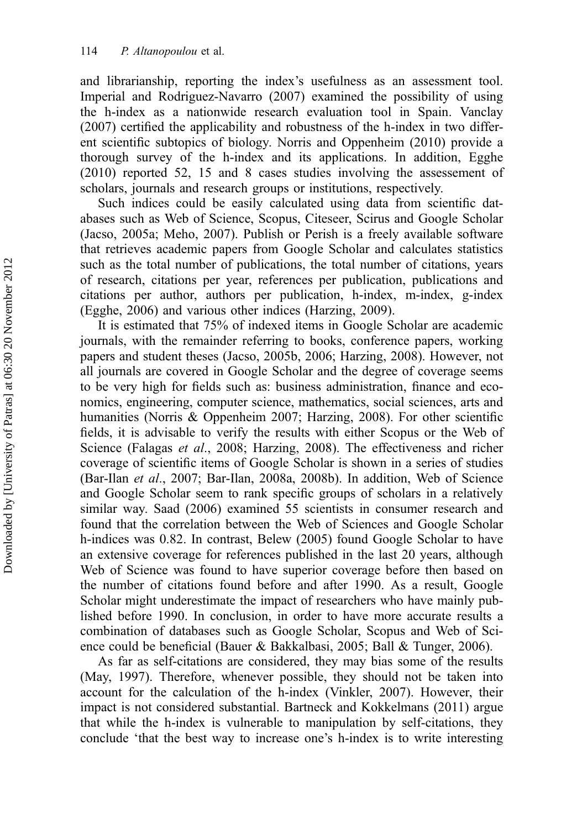and librarianship, reporting the index's usefulness as an assessment tool. Imperial and Rodriguez-Navarro (2007) examined the possibility of using the h-index as a nationwide research evaluation tool in Spain. Vanclay (2007) certified the applicability and robustness of the h-index in two different scientific subtopics of biology. Norris and Oppenheim (2010) provide a thorough survey of the h-index and its applications. In addition, Egghe (2010) reported 52, 15 and 8 cases studies involving the assessement of scholars, journals and research groups or institutions, respectively.

Such indices could be easily calculated using data from scientific databases such as Web of Science, Scopus, Citeseer, Scirus and Google Scholar (Jacso, 2005a; Meho, 2007). Publish or Perish is a freely available software that retrieves academic papers from Google Scholar and calculates statistics such as the total number of publications, the total number of citations, years of research, citations per year, references per publication, publications and citations per author, authors per publication, h-index, m-index, g-index (Egghe, 2006) and various other indices (Harzing, 2009).

It is estimated that 75% of indexed items in Google Scholar are academic journals, with the remainder referring to books, conference papers, working papers and student theses (Jacso, 2005b, 2006; Harzing, 2008). However, not all journals are covered in Google Scholar and the degree of coverage seems to be very high for fields such as: business administration, finance and economics, engineering, computer science, mathematics, social sciences, arts and humanities (Norris & Oppenheim 2007; Harzing, 2008). For other scientific fields, it is advisable to verify the results with either Scopus or the Web of Science (Falagas et al., 2008; Harzing, 2008). The effectiveness and richer coverage of scientific items of Google Scholar is shown in a series of studies (Bar-Ilan et al., 2007; Bar-Ilan, 2008a, 2008b). In addition, Web of Science and Google Scholar seem to rank specific groups of scholars in a relatively similar way. Saad (2006) examined 55 scientists in consumer research and found that the correlation between the Web of Sciences and Google Scholar h-indices was 0.82. In contrast, Belew (2005) found Google Scholar to have an extensive coverage for references published in the last 20 years, although Web of Science was found to have superior coverage before then based on the number of citations found before and after 1990. As a result, Google Scholar might underestimate the impact of researchers who have mainly published before 1990. In conclusion, in order to have more accurate results a combination of databases such as Google Scholar, Scopus and Web of Science could be beneficial (Bauer & Bakkalbasi, 2005; Ball & Tunger, 2006).

As far as self-citations are considered, they may bias some of the results (May, 1997). Therefore, whenever possible, they should not be taken into account for the calculation of the h-index (Vinkler, 2007). However, their impact is not considered substantial. Bartneck and Kokkelmans (2011) argue that while the h-index is vulnerable to manipulation by self-citations, they conclude 'that the best way to increase one's h-index is to write interesting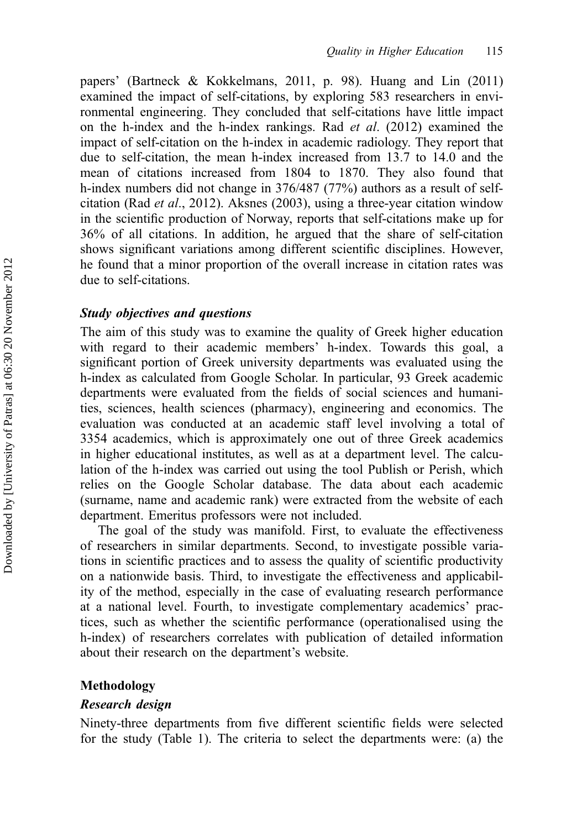papers' (Bartneck & Kokkelmans, 2011, p. 98). Huang and Lin (2011) examined the impact of self-citations, by exploring 583 researchers in environmental engineering. They concluded that self-citations have little impact on the h-index and the h-index rankings. Rad et al. (2012) examined the impact of self-citation on the h-index in academic radiology. They report that due to self-citation, the mean h-index increased from 13.7 to 14.0 and the mean of citations increased from 1804 to 1870. They also found that h-index numbers did not change in 376/487 (77%) authors as a result of selfcitation (Rad *et al.*, 2012). Aksnes (2003), using a three-year citation window in the scientific production of Norway, reports that self-citations make up for 36% of all citations. In addition, he argued that the share of self-citation shows significant variations among different scientific disciplines. However, he found that a minor proportion of the overall increase in citation rates was due to self-citations.

## Study objectives and questions

The aim of this study was to examine the quality of Greek higher education with regard to their academic members' h-index. Towards this goal, a significant portion of Greek university departments was evaluated using the h-index as calculated from Google Scholar. In particular, 93 Greek academic departments were evaluated from the fields of social sciences and humanities, sciences, health sciences (pharmacy), engineering and economics. The evaluation was conducted at an academic staff level involving a total of 3354 academics, which is approximately one out of three Greek academics in higher educational institutes, as well as at a department level. The calculation of the h-index was carried out using the tool Publish or Perish, which relies on the Google Scholar database. The data about each academic (surname, name and academic rank) were extracted from the website of each department. Emeritus professors were not included.

The goal of the study was manifold. First, to evaluate the effectiveness of researchers in similar departments. Second, to investigate possible variations in scientific practices and to assess the quality of scientific productivity on a nationwide basis. Third, to investigate the effectiveness and applicability of the method, especially in the case of evaluating research performance at a national level. Fourth, to investigate complementary academics' practices, such as whether the scientific performance (operationalised using the h-index) of researchers correlates with publication of detailed information about their research on the department's website.

## Methodology

#### Research design

Ninety-three departments from five different scientific fields were selected for the study (Table 1). The criteria to select the departments were: (a) the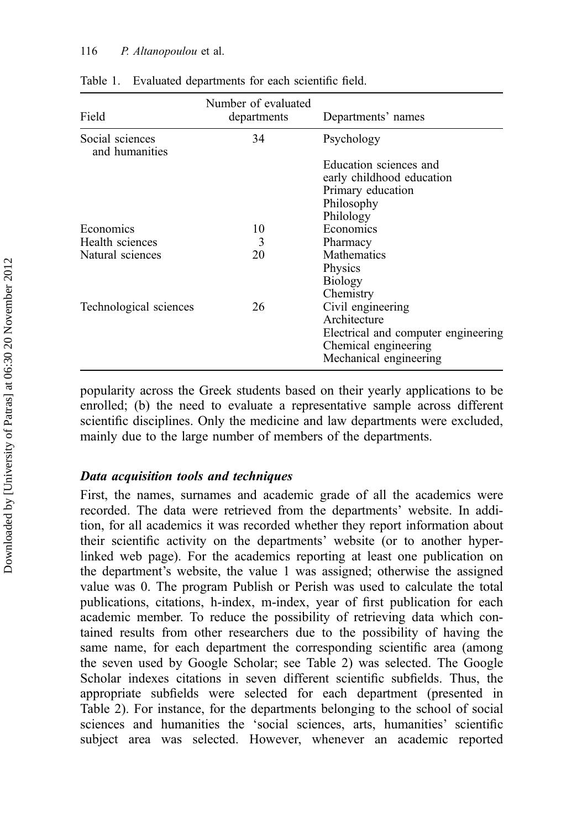#### 116 P. Altanopoulou et al.

| Field                             | Number of evaluated<br>departments | Departments' names                  |
|-----------------------------------|------------------------------------|-------------------------------------|
| Social sciences<br>and humanities | 34                                 | Psychology                          |
|                                   |                                    | Education sciences and              |
|                                   |                                    | early childhood education           |
|                                   |                                    | Primary education                   |
|                                   |                                    | Philosophy                          |
|                                   |                                    | Philology                           |
| Economics                         | 10                                 | Economics                           |
| Health sciences                   | 3                                  | Pharmacy                            |
| Natural sciences                  | 20                                 | <b>Mathematics</b>                  |
|                                   |                                    | Physics                             |
|                                   |                                    | <b>Biology</b>                      |
|                                   |                                    | Chemistry                           |
| Technological sciences            | 26                                 | Civil engineering                   |
|                                   |                                    | Architecture                        |
|                                   |                                    | Electrical and computer engineering |
|                                   |                                    | Chemical engineering                |
|                                   |                                    | Mechanical engineering              |

| Table 1. |  | Evaluated departments for each scientific field. |  |  |  |  |
|----------|--|--------------------------------------------------|--|--|--|--|
|----------|--|--------------------------------------------------|--|--|--|--|

popularity across the Greek students based on their yearly applications to be enrolled; (b) the need to evaluate a representative sample across different scientific disciplines. Only the medicine and law departments were excluded, mainly due to the large number of members of the departments.

## Data acquisition tools and techniques

First, the names, surnames and academic grade of all the academics were recorded. The data were retrieved from the departments' website. In addition, for all academics it was recorded whether they report information about their scientific activity on the departments' website (or to another hyperlinked web page). For the academics reporting at least one publication on the department's website, the value 1 was assigned; otherwise the assigned value was 0. The program Publish or Perish was used to calculate the total publications, citations, h-index, m-index, year of first publication for each academic member. To reduce the possibility of retrieving data which contained results from other researchers due to the possibility of having the same name, for each department the corresponding scientific area (among the seven used by Google Scholar; see Table 2) was selected. The Google Scholar indexes citations in seven different scientific subfields. Thus, the appropriate subfields were selected for each department (presented in Table 2). For instance, for the departments belonging to the school of social sciences and humanities the 'social sciences, arts, humanities' scientific subject area was selected. However, whenever an academic reported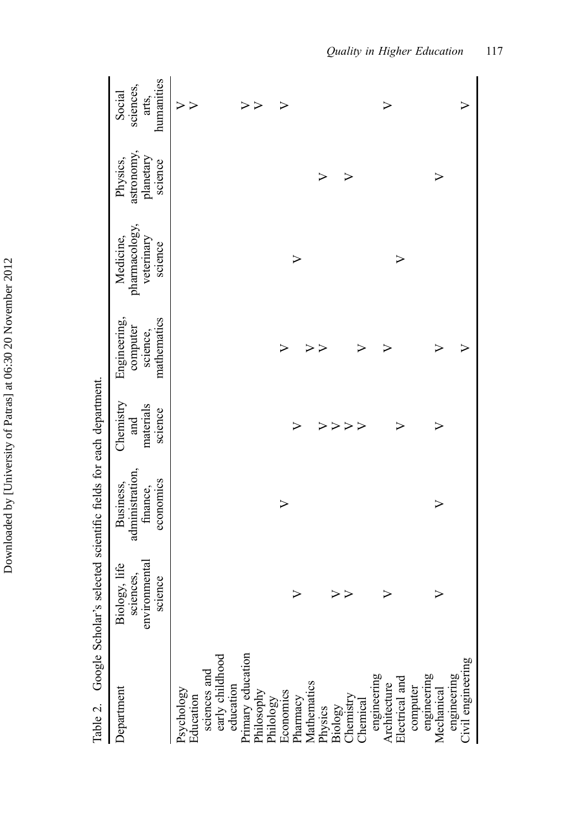| Table 2. Google Scholar's                                                                                                                                                                                                                                            |                                                        | selected scientific fields for each department.       |                                          |                                                     |                                                     |                                                |                                            |
|----------------------------------------------------------------------------------------------------------------------------------------------------------------------------------------------------------------------------------------------------------------------|--------------------------------------------------------|-------------------------------------------------------|------------------------------------------|-----------------------------------------------------|-----------------------------------------------------|------------------------------------------------|--------------------------------------------|
| Department                                                                                                                                                                                                                                                           | environmental<br>Biology, life<br>sciences,<br>science | administration,<br>economics<br>Business,<br>finance, | Chemistry<br>materials<br>science<br>and | mathematics<br>Engineering,<br>computer<br>science, | pharmacology,<br>veterinary<br>Medicine.<br>science | astronomy,<br>planetary<br>Physics,<br>science | humanities<br>sciences,<br>Social<br>arts, |
| Psychology<br>Education<br>sciences and<br>sciences and<br>education<br>education<br>Primary education<br>Philosophy<br>Endiogy<br>Economics<br>Pharmacy<br>Pharmacy<br>Pharmacy<br>Pharmacy<br>Pharmacy<br>Pharmacy<br>Pharmacy<br>Pharmacy<br>Pharmacy<br>Pharmacy |                                                        |                                                       |                                          |                                                     |                                                     |                                                | $\triangleright$<br>$\triangleright$       |
|                                                                                                                                                                                                                                                                      |                                                        |                                                       |                                          |                                                     |                                                     |                                                | $\triangleright$                           |
|                                                                                                                                                                                                                                                                      |                                                        | $\triangleright$                                      |                                          | $\triangleright$                                    |                                                     |                                                | >                                          |
|                                                                                                                                                                                                                                                                      |                                                        |                                                       | $\triangleright$                         |                                                     | $\triangleright$                                    |                                                |                                            |
|                                                                                                                                                                                                                                                                      |                                                        |                                                       |                                          | $\triangleright$                                    |                                                     |                                                |                                            |
|                                                                                                                                                                                                                                                                      |                                                        |                                                       | $\triangleright$                         | ⋗                                                   |                                                     | $\triangleright$                               |                                            |
|                                                                                                                                                                                                                                                                      |                                                        |                                                       | $\blacktriangleright$                    |                                                     |                                                     |                                                |                                            |
|                                                                                                                                                                                                                                                                      |                                                        |                                                       | $\triangleright$<br>$\triangleright$     | ➢                                                   |                                                     | $\triangleright$                               |                                            |
|                                                                                                                                                                                                                                                                      |                                                        |                                                       |                                          |                                                     |                                                     |                                                |                                            |
| engineering<br>Architecture<br>Electrical and                                                                                                                                                                                                                        |                                                        |                                                       |                                          |                                                     |                                                     |                                                |                                            |
|                                                                                                                                                                                                                                                                      |                                                        |                                                       |                                          |                                                     | >                                                   |                                                |                                            |
|                                                                                                                                                                                                                                                                      |                                                        |                                                       |                                          |                                                     |                                                     |                                                |                                            |
| computer<br>engineering<br>Mechanical                                                                                                                                                                                                                                |                                                        | >                                                     |                                          |                                                     |                                                     |                                                |                                            |
| engineering<br>Civil engineering                                                                                                                                                                                                                                     |                                                        |                                                       |                                          |                                                     |                                                     |                                                |                                            |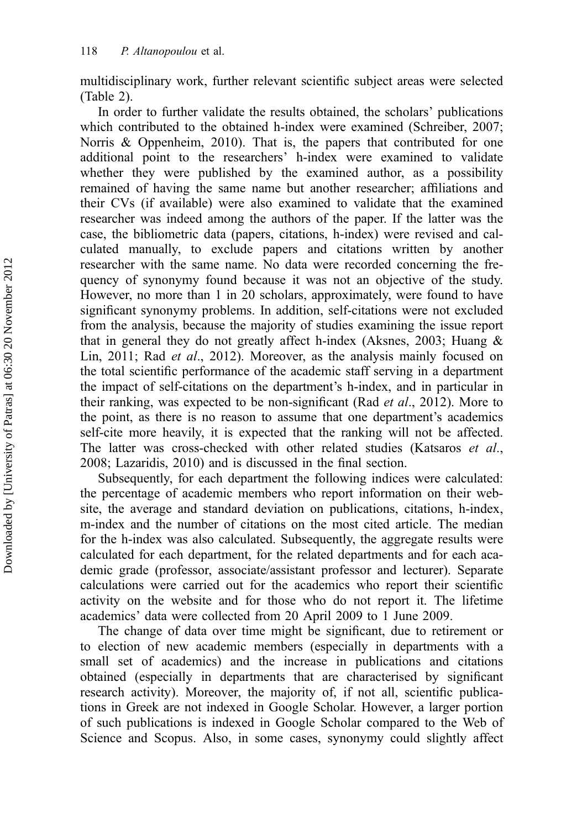multidisciplinary work, further relevant scientific subject areas were selected (Table 2).

In order to further validate the results obtained, the scholars' publications which contributed to the obtained h-index were examined (Schreiber, 2007; Norris & Oppenheim, 2010). That is, the papers that contributed for one additional point to the researchers' h-index were examined to validate whether they were published by the examined author, as a possibility remained of having the same name but another researcher; affiliations and their CVs (if available) were also examined to validate that the examined researcher was indeed among the authors of the paper. If the latter was the case, the bibliometric data (papers, citations, h-index) were revised and calculated manually, to exclude papers and citations written by another researcher with the same name. No data were recorded concerning the frequency of synonymy found because it was not an objective of the study. However, no more than 1 in 20 scholars, approximately, were found to have significant synonymy problems. In addition, self-citations were not excluded from the analysis, because the majority of studies examining the issue report that in general they do not greatly affect h-index (Aksnes, 2003; Huang & Lin, 2011; Rad et al., 2012). Moreover, as the analysis mainly focused on the total scientific performance of the academic staff serving in a department the impact of self-citations on the department's h-index, and in particular in their ranking, was expected to be non-significant (Rad et al., 2012). More to the point, as there is no reason to assume that one department's academics self-cite more heavily, it is expected that the ranking will not be affected. The latter was cross-checked with other related studies (Katsaros et al., 2008; Lazaridis, 2010) and is discussed in the final section.

Subsequently, for each department the following indices were calculated: the percentage of academic members who report information on their website, the average and standard deviation on publications, citations, h-index, m-index and the number of citations on the most cited article. The median for the h-index was also calculated. Subsequently, the aggregate results were calculated for each department, for the related departments and for each academic grade (professor, associate/assistant professor and lecturer). Separate calculations were carried out for the academics who report their scientific activity on the website and for those who do not report it. The lifetime academics' data were collected from 20 April 2009 to 1 June 2009.

The change of data over time might be significant, due to retirement or to election of new academic members (especially in departments with a small set of academics) and the increase in publications and citations obtained (especially in departments that are characterised by significant research activity). Moreover, the majority of, if not all, scientific publications in Greek are not indexed in Google Scholar. However, a larger portion of such publications is indexed in Google Scholar compared to the Web of Science and Scopus. Also, in some cases, synonymy could slightly affect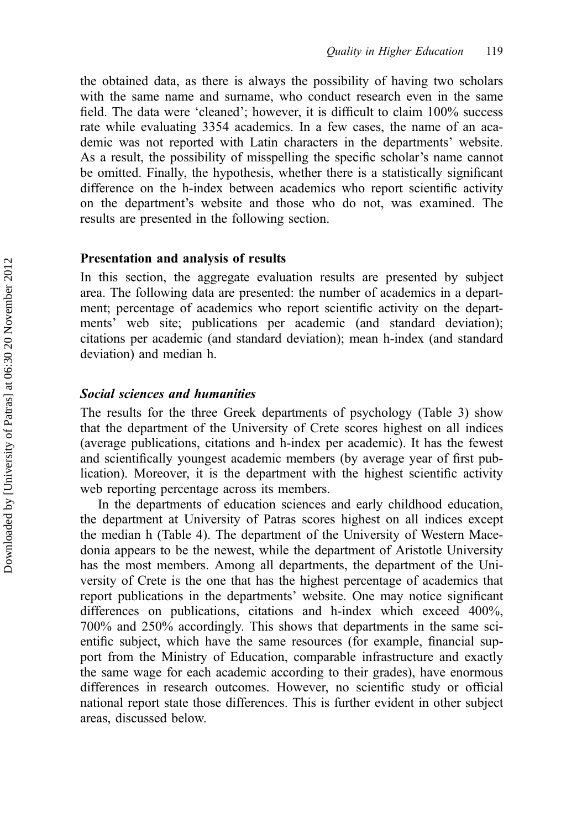the obtained data, as there is always the possibility of having two scholars with the same name and surname, who conduct research even in the same field. The data were 'cleaned'; however, it is difficult to claim 100% success rate while evaluating 3354 academics. In a few cases, the name of an academic was not reported with Latin characters in the departments' website. As a result, the possibility of misspelling the specific scholar's name cannot be omitted. Finally, the hypothesis, whether there is a statistically significant difference on the h-index between academics who report scientific activity on the department's website and those who do not, was examined. The results are presented in the following section.

### Presentation and analysis of results

In this section, the aggregate evaluation results are presented by subject area. The following data are presented: the number of academics in a department; percentage of academics who report scientific activity on the departments' web site; publications per academic (and standard deviation); citations per academic (and standard deviation); mean h-index (and standard deviation) and median h.

## Social sciences and humanities

The results for the three Greek departments of psychology (Table 3) show that the department of the University of Crete scores highest on all indices (average publications, citations and h-index per academic). It has the fewest and scientifically youngest academic members (by average year of first publication). Moreover, it is the department with the highest scientific activity web reporting percentage across its members.

In the departments of education sciences and early childhood education, the department at University of Patras scores highest on all indices except the median h (Table 4). The department of the University of Western Macedonia appears to be the newest, while the department of Aristotle University has the most members. Among all departments, the department of the University of Crete is the one that has the highest percentage of academics that report publications in the departments' website. One may notice significant differences on publications, citations and h-index which exceed 400%, 700% and 250% accordingly. This shows that departments in the same scientific subject, which have the same resources (for example, financial support from the Ministry of Education, comparable infrastructure and exactly the same wage for each academic according to their grades), have enormous differences in research outcomes. However, no scientific study or official national report state those differences. This is further evident in other subject areas, discussed below.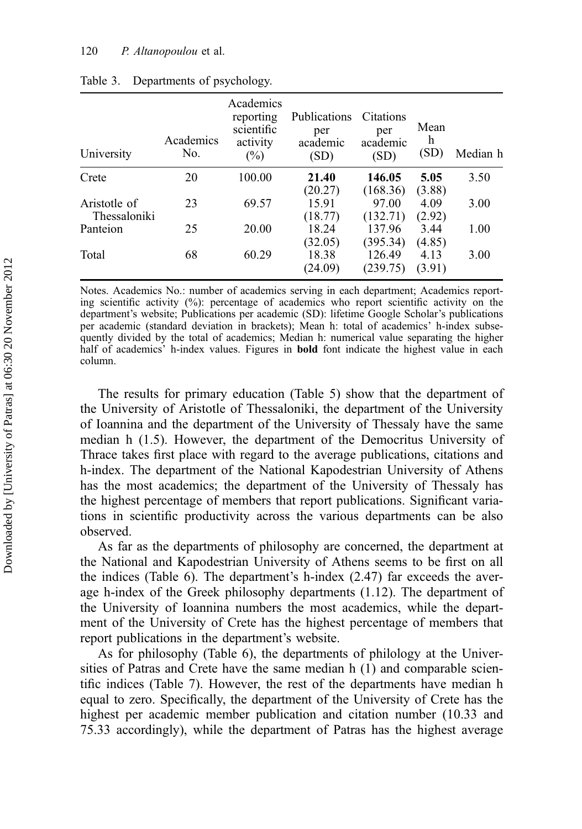| University                   | Academics<br>No. | Academics<br>reporting<br>scientific<br>activity<br>$(\%)$ | <b>Publications</b><br>per<br>academic<br>(SD) | Citations<br>per<br>academic<br>(SD) | Mean<br>h<br>(SD) | Median h |
|------------------------------|------------------|------------------------------------------------------------|------------------------------------------------|--------------------------------------|-------------------|----------|
| Crete                        | 20               | 100.00                                                     | 21.40<br>(20.27)                               | 146.05<br>(168.36)                   | 5.05<br>(3.88)    | 3.50     |
| Aristotle of<br>Thessaloniki | 23               | 69.57                                                      | 15.91<br>(18.77)                               | 97.00<br>(132.71)                    | 4.09<br>(2.92)    | 3.00     |
| Panteion                     | 25               | 20.00                                                      | 18.24<br>(32.05)                               | 137.96<br>(395.34)                   | 3.44<br>(4.85)    | 1.00     |
| Total                        | 68               | 60.29                                                      | 18.38<br>(24.09)                               | 126.49<br>(239.75)                   | 4.13<br>(3.91)    | 3.00     |

| Table 3. | Departments of psychology. |  |
|----------|----------------------------|--|
|          |                            |  |

Notes. Academics No.: number of academics serving in each department; Academics reporting scientific activity  $(%)$ : percentage of academics who report scientific activity on the department's website; Publications per academic (SD): lifetime Google Scholar's publications per academic (standard deviation in brackets); Mean h: total of academics' h-index subsequently divided by the total of academics; Median h: numerical value separating the higher half of academics' h-index values. Figures in **bold** font indicate the highest value in each column.

The results for primary education (Table 5) show that the department of the University of Aristotle of Thessaloniki, the department of the University of Ioannina and the department of the University of Thessaly have the same median h (1.5). However, the department of the Democritus University of Thrace takes first place with regard to the average publications, citations and h-index. The department of the National Kapodestrian University of Athens has the most academics; the department of the University of Thessaly has the highest percentage of members that report publications. Significant variations in scientific productivity across the various departments can be also observed.

As far as the departments of philosophy are concerned, the department at the National and Kapodestrian University of Athens seems to be first on all the indices (Table 6). The department's h-index (2.47) far exceeds the average h-index of the Greek philosophy departments (1.12). The department of the University of Ioannina numbers the most academics, while the department of the University of Crete has the highest percentage of members that report publications in the department's website.

As for philosophy (Table 6), the departments of philology at the Universities of Patras and Crete have the same median h (1) and comparable scientific indices (Table 7). However, the rest of the departments have median h equal to zero. Specifically, the department of the University of Crete has the highest per academic member publication and citation number (10.33 and 75.33 accordingly), while the department of Patras has the highest average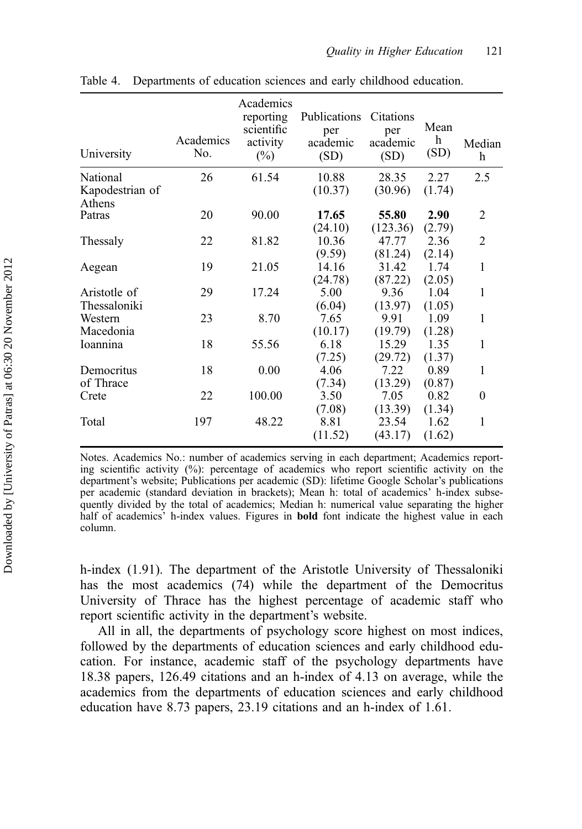| University                | Academics<br>No. | Academics<br>reporting<br>scientific<br>activity<br>$(\%)$ | Publications<br>per<br>academic<br>(SD) | Citations<br>per<br>academic<br>(SD) | Mean<br>h<br>(SD) | Median<br>h      |
|---------------------------|------------------|------------------------------------------------------------|-----------------------------------------|--------------------------------------|-------------------|------------------|
| National                  | 26               | 61.54                                                      | 10.88                                   | 28.35                                | 2.27              | 2.5              |
| Kapodestrian of<br>Athens |                  |                                                            | (10.37)                                 | (30.96)                              | (1.74)            |                  |
| Patras                    | 20               | 90.00                                                      | 17.65                                   | 55.80                                | 2.90              | 2                |
|                           |                  |                                                            | (24.10)                                 | (123.36)                             | (2.79)            |                  |
| Thessaly                  | 22               | 81.82                                                      | 10.36                                   | 47.77                                | 2.36              | $\overline{2}$   |
|                           |                  |                                                            | (9.59)                                  | (81.24)                              | (2.14)            |                  |
| Aegean                    | 19               | 21.05                                                      | 14.16                                   | 31.42                                | 1.74              | 1                |
|                           |                  |                                                            | (24.78)                                 | (87.22)                              | (2.05)            |                  |
| Aristotle of              | 29               | 17.24                                                      | 5.00                                    | 9.36                                 | 1.04              | 1                |
| Thessaloniki              |                  |                                                            | (6.04)                                  | (13.97)                              | (1.05)            |                  |
| Western                   | 23               | 8.70                                                       | 7.65                                    | 9.91                                 | 1.09              | 1                |
| Macedonia                 |                  |                                                            | (10.17)                                 | (19.79)                              | (1.28)            |                  |
| Ioannina                  | 18               | 55.56                                                      | 6.18                                    | 15.29                                | 1.35              | 1                |
|                           |                  |                                                            | (7.25)                                  | (29.72)                              | (1.37)            |                  |
| Democritus                | 18               | 0.00                                                       | 4.06                                    | 7.22                                 | 0.89              | 1                |
| of Thrace                 |                  |                                                            | (7.34)                                  | (13.29)                              | (0.87)            |                  |
| Crete                     | 22               | 100.00                                                     | 3.50                                    | 7.05                                 | 0.82              | $\boldsymbol{0}$ |
|                           |                  |                                                            | (7.08)                                  | (13.39)                              | (1.34)            |                  |
| Total                     | 197              | 48.22                                                      | 8.81                                    | 23.54                                | 1.62              | 1                |
|                           |                  |                                                            | (11.52)                                 | (43.17)                              | (1.62)            |                  |
|                           |                  |                                                            |                                         |                                      |                   |                  |

Table 4. Departments of education sciences and early childhood education.

Notes. Academics No.: number of academics serving in each department; Academics reporting scientific activity (%): percentage of academics who report scientific activity on the department's website; Publications per academic (SD): lifetime Google Scholar's publications per academic (standard deviation in brackets); Mean h: total of academics' h-index subsequently divided by the total of academics; Median h: numerical value separating the higher half of academics' h-index values. Figures in **bold** font indicate the highest value in each column.

h-index (1.91). The department of the Aristotle University of Thessaloniki has the most academics (74) while the department of the Democritus University of Thrace has the highest percentage of academic staff who report scientific activity in the department's website.

All in all, the departments of psychology score highest on most indices, followed by the departments of education sciences and early childhood education. For instance, academic staff of the psychology departments have 18.38 papers, 126.49 citations and an h-index of 4.13 on average, while the academics from the departments of education sciences and early childhood education have 8.73 papers, 23.19 citations and an h-index of 1.61.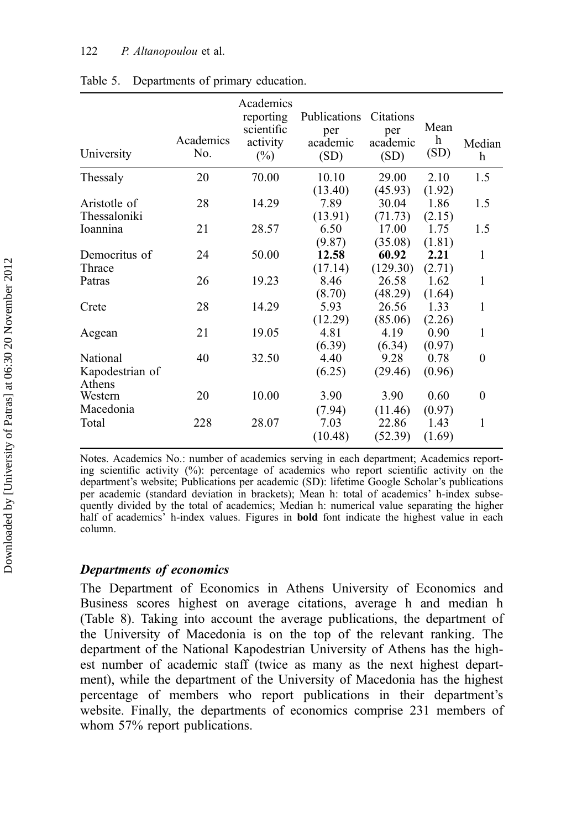| University      | Academics<br>No. | Academics<br>reporting<br>scientific<br>activity<br>$(\%)$ | Publications<br>per<br>academic<br>(SD) | Citations<br>per<br>academic<br>(SD) | Mean<br>h<br>(SD) | Median<br>h |
|-----------------|------------------|------------------------------------------------------------|-----------------------------------------|--------------------------------------|-------------------|-------------|
| Thessaly        | 20               | 70.00                                                      | 10.10                                   | 29.00                                | 2.10              | 1.5         |
|                 |                  |                                                            | (13.40)                                 | (45.93)                              | (1.92)            |             |
| Aristotle of    | 28               | 14.29                                                      | 7.89                                    | 30.04                                | 1.86              | 1.5         |
| Thessaloniki    |                  |                                                            | (13.91)                                 | (71.73)                              | (2.15)            |             |
| Ioannina        | 21               | 28.57                                                      | 6.50                                    | 17.00                                | 1.75              | 1.5         |
|                 |                  |                                                            | (9.87)                                  | (35.08)                              | (1.81)            |             |
| Democritus of   | 24               | 50.00                                                      | 12.58                                   | 60.92                                | 2.21              | 1           |
| Thrace          |                  |                                                            | (17.14)                                 | (129.30)                             | (2.71)            |             |
| Patras          | 26               | 19.23                                                      | 8.46                                    | 26.58                                | 1.62              | 1           |
|                 |                  |                                                            | (8.70)                                  | (48.29)                              | (1.64)            |             |
| Crete           | 28               | 14.29                                                      | 5.93                                    | 26.56                                | 1.33              | 1           |
|                 |                  |                                                            | (12.29)                                 | (85.06)                              | (2.26)            |             |
| Aegean          | 21               | 19.05                                                      | 4.81                                    | 4.19                                 | 0.90              | 1           |
|                 |                  |                                                            | (6.39)                                  | (6.34)                               | (0.97)            |             |
| National        | 40               | 32.50                                                      | 4.40                                    | 9.28                                 | 0.78              | $\theta$    |
| Kapodestrian of |                  |                                                            | (6.25)                                  | (29.46)                              | (0.96)            |             |
| Athens          |                  |                                                            |                                         |                                      |                   |             |
| Western         | 20               | 10.00                                                      | 3.90                                    | 3.90                                 | 0.60              | $\theta$    |
| Macedonia       |                  |                                                            | (7.94)                                  | (11.46)                              | (0.97)            |             |
| Total           | 228              | 28.07                                                      | 7.03                                    | 22.86                                | 1.43              | 1           |
|                 |                  |                                                            | (10.48)                                 | (52.39)                              | (1.69)            |             |
|                 |                  |                                                            |                                         |                                      |                   |             |

| Table 5. | Departments of primary education. |  |  |
|----------|-----------------------------------|--|--|
|----------|-----------------------------------|--|--|

Notes. Academics No.: number of academics serving in each department; Academics reporting scientific activity  $(\%)$ : percentage of academics who report scientific activity on the department's website; Publications per academic (SD): lifetime Google Scholar's publications per academic (standard deviation in brackets); Mean h: total of academics' h-index subsequently divided by the total of academics; Median h: numerical value separating the higher half of academics' h-index values. Figures in bold font indicate the highest value in each column.

## Departments of economics

The Department of Economics in Athens University of Economics and Business scores highest on average citations, average h and median h (Table 8). Taking into account the average publications, the department of the University of Macedonia is on the top of the relevant ranking. The department of the National Kapodestrian University of Athens has the highest number of academic staff (twice as many as the next highest department), while the department of the University of Macedonia has the highest percentage of members who report publications in their department's website. Finally, the departments of economics comprise 231 members of whom 57% report publications.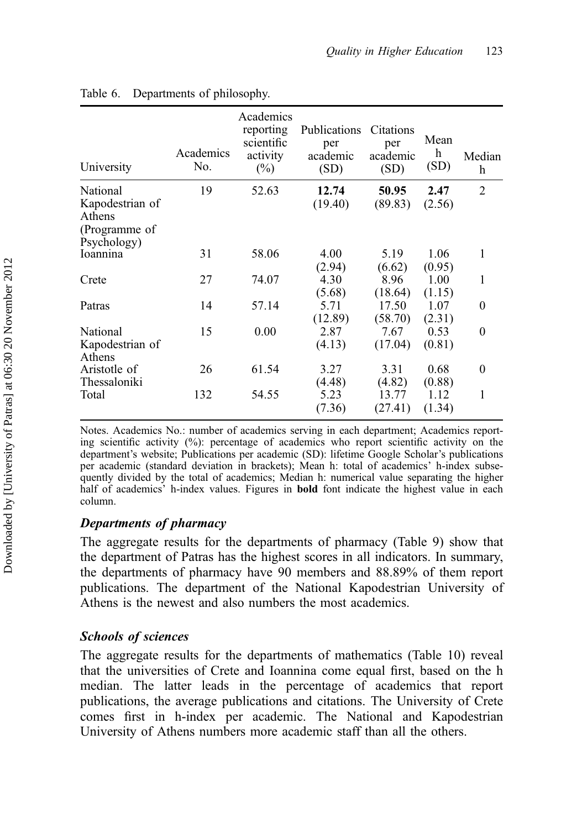| University                                             | Academics<br>No. | Academics<br>reporting<br>scientific<br>activity<br>$(\%)$ | Publications<br>per<br>academic<br>(SD) | Citations<br>per<br>academic<br>(SD) | Mean<br>h<br>(SD) | Median<br>h    |
|--------------------------------------------------------|------------------|------------------------------------------------------------|-----------------------------------------|--------------------------------------|-------------------|----------------|
| National<br>Kapodestrian of<br>Athens<br>(Programme of | 19               | 52.63                                                      | 12.74<br>(19.40)                        | 50.95<br>(89.83)                     | 2.47<br>(2.56)    | $\mathfrak{D}$ |
| Psychology)<br>Ioannina                                | 31               | 58.06                                                      | 4.00<br>(2.94)                          | 5.19<br>(6.62)                       | 1.06<br>(0.95)    | 1              |
| Crete                                                  | 27               | 74.07                                                      | 4.30<br>(5.68)                          | 8.96<br>(18.64)                      | 1.00<br>(1.15)    | 1              |
| Patras                                                 | 14               | 57.14                                                      | 5.71<br>(12.89)                         | 17.50<br>(58.70)                     | 1.07<br>(2.31)    | $\theta$       |
| National<br>Kapodestrian of<br>Athens                  | 15               | 0.00                                                       | 2.87<br>(4.13)                          | 7.67<br>(17.04)                      | 0.53<br>(0.81)    | $\theta$       |
| Aristotle of<br>Thessaloniki                           | 26               | 61.54                                                      | 3.27<br>(4.48)                          | 3.31<br>(4.82)                       | 0.68<br>(0.88)    | $\theta$       |
| Total                                                  | 132              | 54.55                                                      | 5.23<br>(7.36)                          | 13.77<br>(27.41)                     | 1.12<br>(1.34)    | 1              |

## Table 6. Departments of philosophy.

Notes. Academics No.: number of academics serving in each department; Academics reporting scientific activity (%): percentage of academics who report scientific activity on the department's website; Publications per academic (SD): lifetime Google Scholar's publications per academic (standard deviation in brackets); Mean h: total of academics' h-index subsequently divided by the total of academics; Median h: numerical value separating the higher half of academics' h-index values. Figures in **bold** font indicate the highest value in each column.

## Departments of pharmacy

The aggregate results for the departments of pharmacy (Table 9) show that the department of Patras has the highest scores in all indicators. In summary, the departments of pharmacy have 90 members and 88.89% of them report publications. The department of the National Kapodestrian University of Athens is the newest and also numbers the most academics.

## Schools of sciences

The aggregate results for the departments of mathematics (Table 10) reveal that the universities of Crete and Ioannina come equal first, based on the h median. The latter leads in the percentage of academics that report publications, the average publications and citations. The University of Crete comes first in h-index per academic. The National and Kapodestrian University of Athens numbers more academic staff than all the others.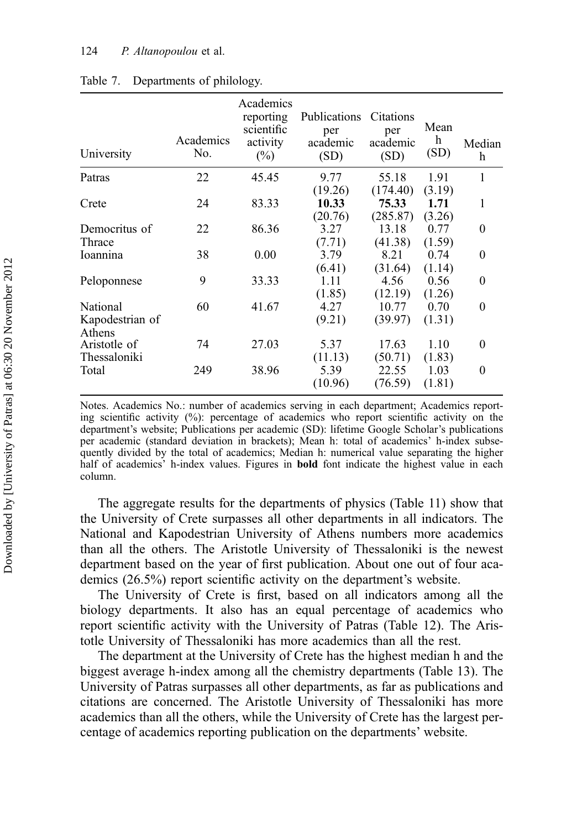| University                            | Academics<br>No. | Academics<br>reporting<br>scientific<br>activity<br>$(\%)$ | Publications<br>per<br>academic<br>(SD) | Citations<br>per<br>academic<br>(SD) | Mean<br>h<br>(SD)        | Median<br>h |
|---------------------------------------|------------------|------------------------------------------------------------|-----------------------------------------|--------------------------------------|--------------------------|-------------|
| Patras                                | 22               | 45.45                                                      | 9.77                                    | 55.18                                | 1.91                     | 1           |
| Crete                                 | 24               | 83.33                                                      | (19.26)<br>10.33<br>(20.76)             | (174.40)<br>75.33<br>(285.87)        | (3.19)<br>1.71<br>(3.26) | 1           |
| Democritus of                         | 22               | 86.36                                                      | 3.27                                    | 13.18                                | 0.77                     | $\theta$    |
| Thrace<br>Ioannina                    | 38               | 0.00                                                       | (7.71)<br>3.79<br>(6.41)                | (41.38)<br>8.21<br>(31.64)           | (1.59)<br>0.74<br>(1.14) | $\theta$    |
| Peloponnese                           | 9                | 33.33                                                      | 1.11<br>(1.85)                          | 4.56<br>(12.19)                      | 0.56<br>(1.26)           | 0           |
| National<br>Kapodestrian of<br>Athens | 60               | 41.67                                                      | 4.27<br>(9.21)                          | 10.77<br>(39.97)                     | 0.70<br>(1.31)           | 0           |
| Aristotle of<br>Thessaloniki          | 74               | 27.03                                                      | 5.37<br>(11.13)                         | 17.63<br>(50.71)                     | 1.10<br>(1.83)           | 0           |
| Total                                 | 249              | 38.96                                                      | 5.39<br>(10.96)                         | 22.55<br>(76.59)                     | 1.03<br>(1.81)           | 0           |

### Table 7. Departments of philology.

Notes. Academics No.: number of academics serving in each department; Academics reporting scientific activity  $(\%)$ : percentage of academics who report scientific activity on the department's website; Publications per academic (SD): lifetime Google Scholar's publications per academic (standard deviation in brackets); Mean h: total of academics' h-index subsequently divided by the total of academics; Median h: numerical value separating the higher half of academics' h-index values. Figures in **bold** font indicate the highest value in each column.

The aggregate results for the departments of physics (Table 11) show that the University of Crete surpasses all other departments in all indicators. The National and Kapodestrian University of Athens numbers more academics than all the others. The Aristotle University of Thessaloniki is the newest department based on the year of first publication. About one out of four academics (26.5%) report scientific activity on the department's website.

The University of Crete is first, based on all indicators among all the biology departments. It also has an equal percentage of academics who report scientific activity with the University of Patras (Table 12). The Aristotle University of Thessaloniki has more academics than all the rest.

The department at the University of Crete has the highest median h and the biggest average h-index among all the chemistry departments (Table 13). The University of Patras surpasses all other departments, as far as publications and citations are concerned. The Aristotle University of Thessaloniki has more academics than all the others, while the University of Crete has the largest percentage of academics reporting publication on the departments' website.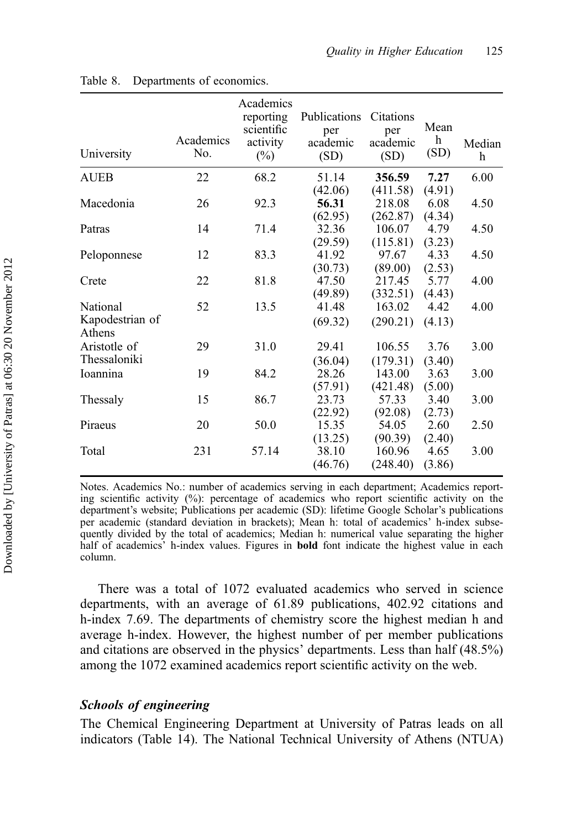| University                | Academics<br>No. | Academics<br>reporting<br>scientific<br>activity<br>$(\%)$ | Publications<br>per<br>academic<br>(SD) | Citations<br>per<br>academic<br>(SD) | Mean<br>$\boldsymbol{\mathrm{h}}$<br>(SD) | Median<br>h |
|---------------------------|------------------|------------------------------------------------------------|-----------------------------------------|--------------------------------------|-------------------------------------------|-------------|
|                           |                  |                                                            |                                         |                                      |                                           |             |
| <b>AUEB</b>               | 22               | 68.2                                                       | 51.14                                   | 356.59                               | 7.27                                      | 6.00        |
|                           |                  |                                                            | (42.06)                                 | (411.58)                             | (4.91)                                    |             |
| Macedonia                 | 26               | 92.3                                                       | 56.31                                   | 218.08                               | 6.08                                      | 4.50        |
|                           |                  |                                                            | (62.95)                                 | (262.87)                             | (4.34)                                    |             |
| Patras                    | 14               | 71.4                                                       | 32.36                                   | 106.07                               | 4.79                                      | 4.50        |
|                           |                  |                                                            | (29.59)                                 | (115.81)                             | (3.23)                                    |             |
| Peloponnese               | 12               | 83.3                                                       | 41.92                                   | 97.67                                | 4.33                                      | 4.50        |
|                           |                  |                                                            | (30.73)                                 | (89.00)                              | (2.53)                                    |             |
| Crete                     | 22               | 81.8                                                       | 47.50                                   | 217.45                               | 5.77                                      | 4.00        |
|                           |                  |                                                            | (49.89)                                 | (332.51)                             | (4.43)                                    |             |
| National                  | 52               | 13.5                                                       | 41.48                                   | 163.02                               | 4.42                                      | 4.00        |
| Kapodestrian of<br>Athens |                  |                                                            | (69.32)                                 | (290.21)                             | (4.13)                                    |             |
| Aristotle of              | 29               | 31.0                                                       | 29.41                                   | 106.55                               | 3.76                                      | 3.00        |
| Thessaloniki              |                  |                                                            | (36.04)                                 | (179.31)                             | (3.40)                                    |             |
| Ioannina                  | 19               | 84.2                                                       | 28.26                                   | 143.00                               | 3.63                                      | 3.00        |
|                           |                  |                                                            | (57.91)                                 | (421.48)                             | (5.00)                                    |             |
| Thessaly                  | 15               | 86.7                                                       | 23.73                                   | 57.33                                | 3.40                                      | 3.00        |
|                           |                  |                                                            | (22.92)                                 | (92.08)                              | (2.73)                                    |             |
| Piraeus                   | 20               | 50.0                                                       | 15.35                                   | 54.05                                | 2.60                                      | 2.50        |
|                           |                  |                                                            | (13.25)                                 | (90.39)                              | (2.40)                                    |             |
| Total                     | 231              | 57.14                                                      | 38.10                                   | 160.96                               | 4.65                                      | 3.00        |
|                           |                  |                                                            | (46.76)                                 | (248.40)                             | (3.86)                                    |             |
|                           |                  |                                                            |                                         |                                      |                                           |             |

#### Table 8. Departments of economics.

Notes. Academics No.: number of academics serving in each department; Academics reporting scientific activity  $(\%)$ : percentage of academics who report scientific activity on the department's website; Publications per academic (SD): lifetime Google Scholar's publications per academic (standard deviation in brackets); Mean h: total of academics' h-index subsequently divided by the total of academics; Median h: numerical value separating the higher half of academics' h-index values. Figures in **bold** font indicate the highest value in each column.

There was a total of 1072 evaluated academics who served in science departments, with an average of 61.89 publications, 402.92 citations and h-index 7.69. The departments of chemistry score the highest median h and average h-index. However, the highest number of per member publications and citations are observed in the physics' departments. Less than half (48.5%) among the 1072 examined academics report scientific activity on the web.

## Schools of engineering

The Chemical Engineering Department at University of Patras leads on all indicators (Table 14). The National Technical University of Athens (NTUA)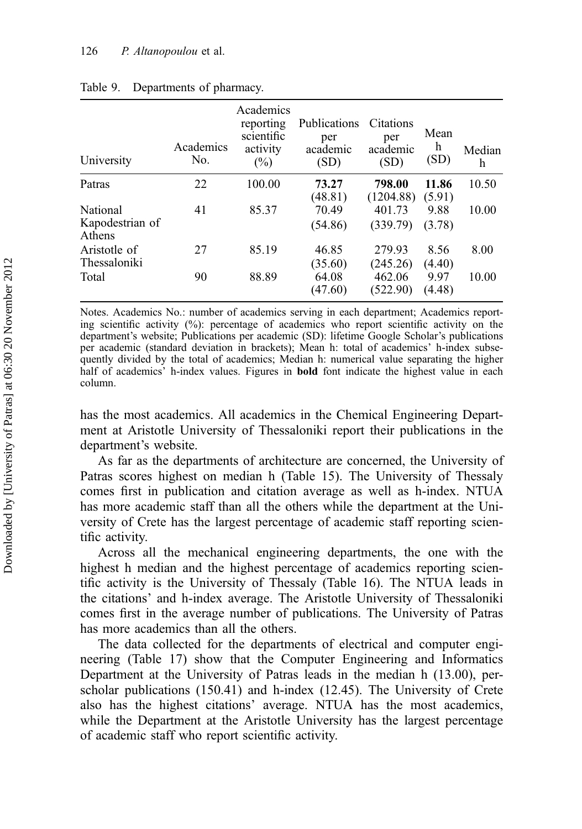| University                            | Academics<br>No. | Academics<br>reporting<br>scientific<br>activity<br>$(\%)$ | Publications<br>per<br>academic<br>(SD) | Citations<br>per<br>academic<br>(SD) | Mean<br>h<br>(SD) | Median<br>h |
|---------------------------------------|------------------|------------------------------------------------------------|-----------------------------------------|--------------------------------------|-------------------|-------------|
| Patras                                | 22               | 100.00                                                     | 73.27<br>(48.81)                        | 798.00<br>(1204.88)                  | 11.86<br>(5.91)   | 10.50       |
| National<br>Kapodestrian of<br>Athens | 41               | 85.37                                                      | 70.49<br>(54.86)                        | 401.73<br>(339.79)                   | 9.88<br>(3.78)    | 10.00       |
| Aristotle of<br>Thessaloniki          | 27               | 85.19                                                      | 46.85<br>(35.60)                        | 279.93<br>(245.26)                   | 8.56<br>(4.40)    | 8.00        |
| Total                                 | 90               | 88.89                                                      | 64.08<br>(47.60)                        | 462.06<br>(522.90)                   | 9.97<br>(4.48)    | 10.00       |

#### Table 9. Departments of pharmacy.

Notes. Academics No.: number of academics serving in each department; Academics reporting scientific activity (%): percentage of academics who report scientific activity on the department's website; Publications per academic (SD): lifetime Google Scholar's publications per academic (standard deviation in brackets); Mean h: total of academics' h-index subsequently divided by the total of academics; Median h: numerical value separating the higher half of academics' h-index values. Figures in bold font indicate the highest value in each column.

has the most academics. All academics in the Chemical Engineering Department at Aristotle University of Thessaloniki report their publications in the department's website.

As far as the departments of architecture are concerned, the University of Patras scores highest on median h (Table 15). The University of Thessaly comes first in publication and citation average as well as h-index. NTUA has more academic staff than all the others while the department at the University of Crete has the largest percentage of academic staff reporting scientific activity.

Across all the mechanical engineering departments, the one with the highest h median and the highest percentage of academics reporting scientific activity is the University of Thessaly (Table 16). The NTUA leads in the citations' and h-index average. The Aristotle University of Thessaloniki comes first in the average number of publications. The University of Patras has more academics than all the others.

The data collected for the departments of electrical and computer engineering (Table 17) show that the Computer Engineering and Informatics Department at the University of Patras leads in the median h (13.00), perscholar publications (150.41) and h-index (12.45). The University of Crete also has the highest citations' average. NTUA has the most academics, while the Department at the Aristotle University has the largest percentage of academic staff who report scientific activity.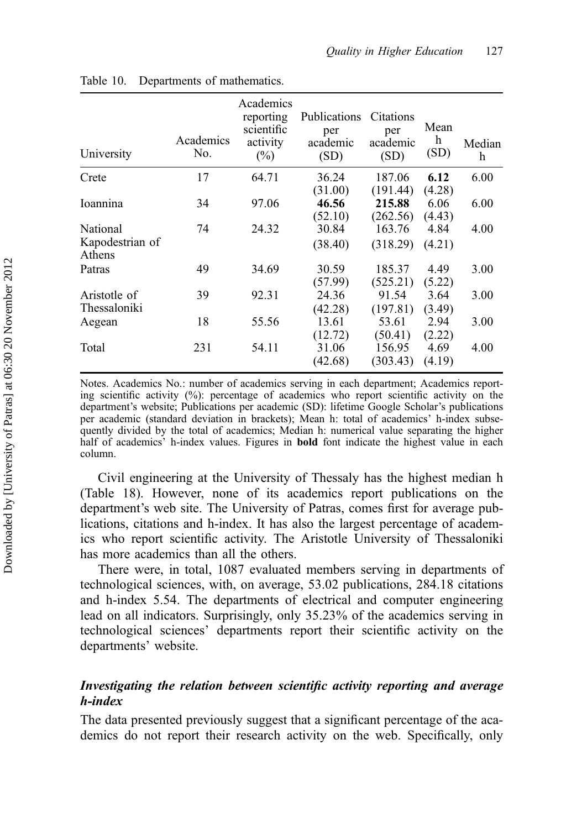| University                            | Academics<br>No. | Academics<br>reporting<br>scientific<br>activity<br>$(\%)$ | Publications<br>per<br>academic<br>(SD) | Citations<br>per<br>academic<br>(SD) | Mean<br>h<br>(SD) | Median<br>h |
|---------------------------------------|------------------|------------------------------------------------------------|-----------------------------------------|--------------------------------------|-------------------|-------------|
| Crete                                 | 17               | 64.71                                                      | 36.24<br>(31.00)                        | 187.06<br>(191.44)                   | 6.12<br>(4.28)    | 6.00        |
| Ioannina                              | 34               | 97.06                                                      | 46.56<br>(52.10)                        | 215.88<br>(262.56)                   | 6.06<br>(4.43)    | 6.00        |
| National<br>Kapodestrian of<br>Athens | 74               | 24.32                                                      | 30.84<br>(38.40)                        | 163.76<br>(318.29)                   | 4.84<br>(4.21)    | 4.00        |
| Patras                                | 49               | 34.69                                                      | 30.59<br>(57.99)                        | 185.37<br>(525.21)                   | 4.49<br>(5.22)    | 3.00        |
| Aristotle of<br>Thessaloniki          | 39               | 92.31                                                      | 24.36<br>(42.28)                        | 91.54<br>(197.81)                    | 3.64<br>(3.49)    | 3.00        |
| Aegean                                | 18               | 55.56                                                      | 13.61<br>(12.72)                        | 53.61<br>(50.41)                     | 2.94<br>(2.22)    | 3.00        |
| Total                                 | 231              | 54.11                                                      | 31.06<br>(42.68)                        | 156.95<br>(303.43)                   | 4.69<br>(4.19)    | 4.00        |

| Table 10. |  | Departments of mathematics. |
|-----------|--|-----------------------------|
|-----------|--|-----------------------------|

Notes. Academics No.: number of academics serving in each department; Academics reporting scientific activity  $(\%)$ : percentage of academics who report scientific activity on the department's website; Publications per academic (SD): lifetime Google Scholar's publications per academic (standard deviation in brackets); Mean h: total of academics' h-index subsequently divided by the total of academics; Median h: numerical value separating the higher half of academics' h-index values. Figures in **bold** font indicate the highest value in each column.

Civil engineering at the University of Thessaly has the highest median h (Table 18). However, none of its academics report publications on the department's web site. The University of Patras, comes first for average publications, citations and h-index. It has also the largest percentage of academics who report scientific activity. The Aristotle University of Thessaloniki has more academics than all the others.

There were, in total, 1087 evaluated members serving in departments of technological sciences, with, on average, 53.02 publications, 284.18 citations and h-index 5.54. The departments of electrical and computer engineering lead on all indicators. Surprisingly, only 35.23% of the academics serving in technological sciences' departments report their scientific activity on the departments' website.

## Investigating the relation between scientific activity reporting and average h-index

The data presented previously suggest that a significant percentage of the academics do not report their research activity on the web. Specifically, only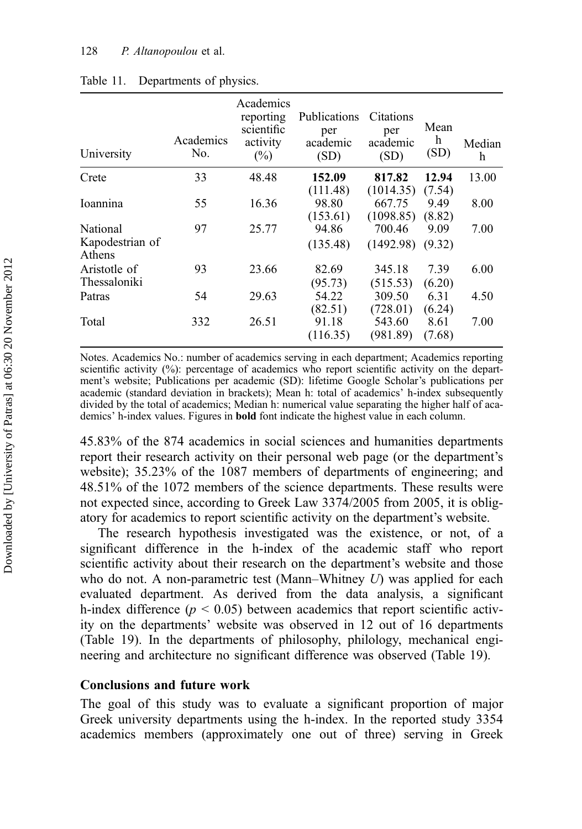| University                | Academics<br>No. | Academics<br>reporting<br>scientific<br>activity<br>$(\%)$ | Publications<br>per<br>academic<br>(SD) | Citations<br>per<br>academic<br>(SD) | Mean<br>h<br>(SD) | Median<br>h |
|---------------------------|------------------|------------------------------------------------------------|-----------------------------------------|--------------------------------------|-------------------|-------------|
| Crete                     | 33               | 48.48                                                      | 152.09                                  | 817.82                               | 12.94             | 13.00       |
|                           |                  |                                                            | (111.48)                                | (1014.35)                            | (7.54)            |             |
| Ioannina                  | 55               | 16.36                                                      | 98.80                                   | 667.75                               | 9.49              | 8.00        |
| National                  | 97               | 25.77                                                      | (153.61)<br>94.86                       | (1098.85)<br>700.46                  | (8.82)<br>9.09    | 7.00        |
| Kapodestrian of<br>Athens |                  |                                                            | (135.48)                                | (1492.98)                            | (9.32)            |             |
| Aristotle of              | 93               | 23.66                                                      | 82.69                                   | 345.18                               | 7.39              | 6.00        |
| Thessaloniki              |                  |                                                            | (95.73)                                 | (515.53)                             | (6.20)            |             |
| Patras                    | 54               | 29.63                                                      | 54.22                                   | 309.50                               | 6.31              | 4.50        |
|                           |                  |                                                            | (82.51)                                 | (728.01)                             | (6.24)            |             |
| Total                     | 332              | 26.51                                                      | 91.18                                   | 543.60                               | 8.61              | 7.00        |
|                           |                  |                                                            | (116.35)                                | (981.89)                             | (7.68)            |             |

## Table 11. Departments of physics.

Notes. Academics No.: number of academics serving in each department; Academics reporting scientific activity (%): percentage of academics who report scientific activity on the department's website; Publications per academic (SD): lifetime Google Scholar's publications per academic (standard deviation in brackets); Mean h: total of academics' h-index subsequently divided by the total of academics; Median h: numerical value separating the higher half of academics' h-index values. Figures in bold font indicate the highest value in each column.

45.83% of the 874 academics in social sciences and humanities departments report their research activity on their personal web page (or the department's website); 35.23% of the 1087 members of departments of engineering; and 48.51% of the 1072 members of the science departments. These results were not expected since, according to Greek Law 3374/2005 from 2005, it is obligatory for academics to report scientific activity on the department's website.

The research hypothesis investigated was the existence, or not, of a significant difference in the h-index of the academic staff who report scientific activity about their research on the department's website and those who do not. A non-parametric test (Mann–Whitney  $U$ ) was applied for each evaluated department. As derived from the data analysis, a significant h-index difference ( $p < 0.05$ ) between academics that report scientific activity on the departments' website was observed in 12 out of 16 departments (Table 19). In the departments of philosophy, philology, mechanical engineering and architecture no significant difference was observed (Table 19).

## Conclusions and future work

The goal of this study was to evaluate a significant proportion of major Greek university departments using the h-index. In the reported study 3354 academics members (approximately one out of three) serving in Greek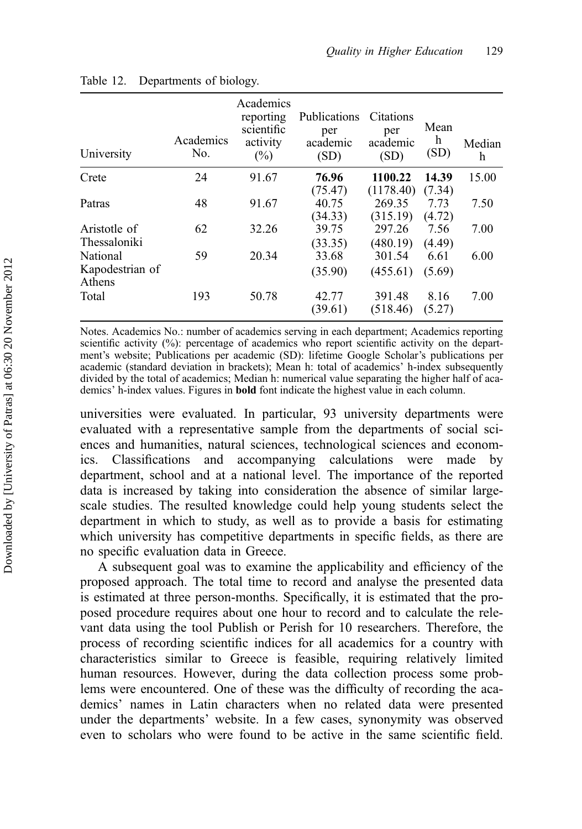| University                                  | Academics<br>No. | Academics<br>reporting<br>scientific<br>activity<br>$(\%)$ | Publications<br>per<br>academic<br>(SD) | Citations<br>per<br>academic<br>(SD) | Mean<br>h<br>(SD)        | Median<br>h |
|---------------------------------------------|------------------|------------------------------------------------------------|-----------------------------------------|--------------------------------------|--------------------------|-------------|
| Crete                                       | 24               | 91.67                                                      | 76.96                                   | 1100.22                              | 14.39                    | 15.00       |
| Patras                                      | 48               | 91.67                                                      | (75.47)<br>40.75<br>(34.33)             | (1178.40)<br>269.35<br>(315.19)      | (7.34)<br>7.73<br>(4.72) | 7.50        |
| Aristotle of                                | 62               | 32.26                                                      | 39.75                                   | 297.26                               | 7.56                     | 7.00        |
| Thessaloniki<br>National<br>Kapodestrian of | 59               | 20.34                                                      | (33.35)<br>33.68<br>(35.90)             | (480.19)<br>301.54<br>(455.61)       | (4.49)<br>6.61<br>(5.69) | 6.00        |
| Athens<br>Total                             | 193              | 50.78                                                      | 42.77<br>(39.61)                        | 391.48<br>(518.46)                   | 8.16<br>(5.27)           | 7.00        |

#### Table 12. Departments of biology.

Notes. Academics No.: number of academics serving in each department; Academics reporting scientific activity (%): percentage of academics who report scientific activity on the department's website; Publications per academic (SD): lifetime Google Scholar's publications per academic (standard deviation in brackets); Mean h: total of academics' h-index subsequently divided by the total of academics; Median h: numerical value separating the higher half of academics' h-index values. Figures in bold font indicate the highest value in each column.

universities were evaluated. In particular, 93 university departments were evaluated with a representative sample from the departments of social sciences and humanities, natural sciences, technological sciences and economics. Classifications and accompanying calculations were made by department, school and at a national level. The importance of the reported data is increased by taking into consideration the absence of similar largescale studies. The resulted knowledge could help young students select the department in which to study, as well as to provide a basis for estimating which university has competitive departments in specific fields, as there are no specific evaluation data in Greece.

A subsequent goal was to examine the applicability and efficiency of the proposed approach. The total time to record and analyse the presented data is estimated at three person-months. Specifically, it is estimated that the proposed procedure requires about one hour to record and to calculate the relevant data using the tool Publish or Perish for 10 researchers. Therefore, the process of recording scientific indices for all academics for a country with characteristics similar to Greece is feasible, requiring relatively limited human resources. However, during the data collection process some problems were encountered. One of these was the difficulty of recording the academics' names in Latin characters when no related data were presented under the departments' website. In a few cases, synonymity was observed even to scholars who were found to be active in the same scientific field.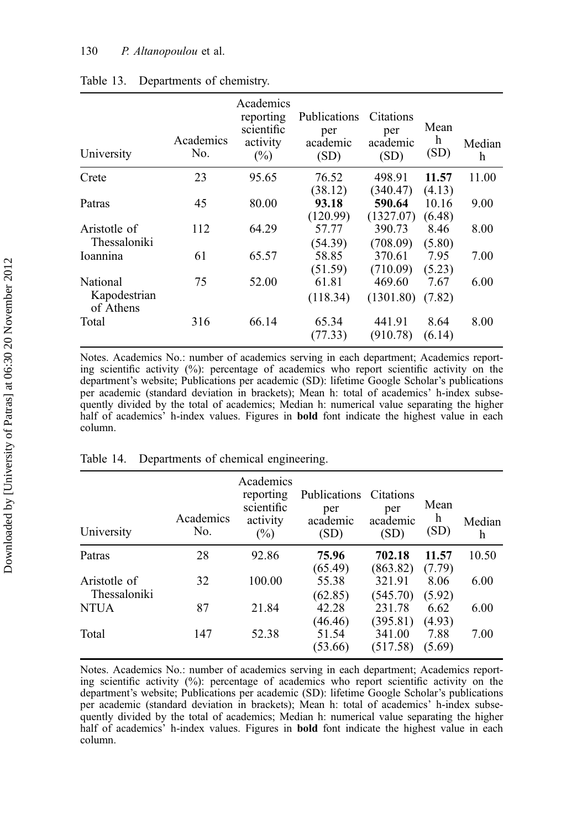| University                | Academics<br>No. | Academics<br>reporting<br>scientific<br>activity<br>$(\%)$ | Publications<br>per<br>academic<br>(SD) | Citations<br>per<br>academic<br>(SD) | Mean<br>h<br>(SD) | Median<br>h |
|---------------------------|------------------|------------------------------------------------------------|-----------------------------------------|--------------------------------------|-------------------|-------------|
| Crete                     | 23               | 95.65                                                      | 76.52                                   | 498.91                               | 11.57             | 11.00       |
|                           |                  |                                                            | (38.12)                                 | (340.47)                             | (4.13)            |             |
| Patras                    | 45               | 80.00                                                      | 93.18                                   | 590.64                               | 10.16             | 9.00        |
|                           |                  |                                                            | (120.99)                                | (1327.07)                            | (6.48)            |             |
| Aristotle of              | 112              | 64.29                                                      | 57.77                                   | 390.73                               | 8.46              | 8.00        |
| Thessaloniki              |                  |                                                            | (54.39)                                 | (708.09)                             | (5.80)            |             |
| Ioannina                  | 61               | 65.57                                                      | 58.85                                   | 370.61                               | 7.95              | 7.00        |
|                           |                  |                                                            | (51.59)                                 | (710.09)                             | (5.23)            |             |
| <b>National</b>           | 75               | 52.00                                                      | 61.81                                   | 469.60                               | 7.67              | 6.00        |
| Kapodestrian<br>of Athens |                  |                                                            | (118.34)                                | (1301.80)                            | (7.82)            |             |
| Total                     | 316              | 66.14                                                      | 65.34                                   | 441.91                               | 8.64              | 8.00        |
|                           |                  |                                                            | (77.33)                                 | (910.78)                             | (6.14)            |             |

## Table 13. Departments of chemistry.

Notes. Academics No.: number of academics serving in each department; Academics reporting scientific activity (%): percentage of academics who report scientific activity on the department's website; Publications per academic (SD): lifetime Google Scholar's publications per academic (standard deviation in brackets); Mean h: total of academics' h-index subsequently divided by the total of academics; Median h: numerical value separating the higher half of academics' h-index values. Figures in **bold** font indicate the highest value in each column.

| University   | Academics<br>No. | Academics<br>reporting<br>scientific<br>activity<br>$(\%)$ | <b>Publications</b><br>per<br>academic<br>(SD) | Citations<br>per<br>academic<br>(SD) | Mean<br>h<br>(SD) | Median<br>h |
|--------------|------------------|------------------------------------------------------------|------------------------------------------------|--------------------------------------|-------------------|-------------|
| Patras       | 28               | 92.86                                                      | 75.96                                          | 702.18                               | 11.57             | 10.50       |
|              |                  |                                                            | (65.49)                                        | (863.82)                             | (7.79)            |             |
| Aristotle of | 32               | 100.00                                                     | 55.38                                          | 321.91                               | 8.06              | 6.00        |
| Thessaloniki |                  |                                                            | (62.85)                                        | (545.70)                             | (5.92)            |             |
| <b>NTUA</b>  | 87               | 21.84                                                      | 42.28                                          | 231.78                               | 6.62              | 6.00        |
|              |                  |                                                            | (46.46)                                        | (395.81)                             | (4.93)            |             |
| Total        | 147              | 52.38                                                      | 51.54                                          | 341.00                               | 7.88              | 7.00        |
|              |                  |                                                            | (53.66)                                        | (517.58)                             | (5.69)            |             |

#### Table 14. Departments of chemical engineering.

Notes. Academics No.: number of academics serving in each department; Academics reporting scientific activity (%): percentage of academics who report scientific activity on the department's website; Publications per academic (SD): lifetime Google Scholar's publications per academic (standard deviation in brackets); Mean h: total of academics' h-index subsequently divided by the total of academics; Median h: numerical value separating the higher half of academics' h-index values. Figures in **bold** font indicate the highest value in each column.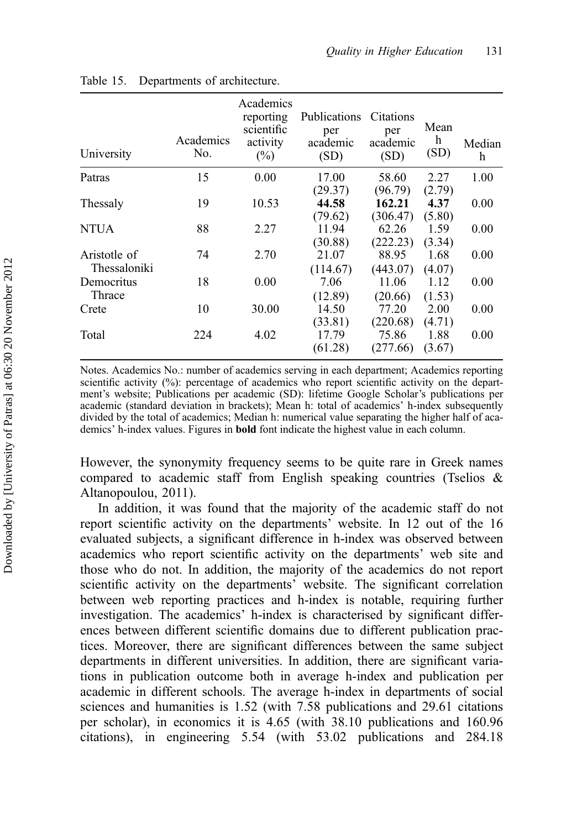| University                   | Academics<br>No. | Academics<br>reporting<br>scientific<br>activity<br>$(\%)$ | <b>Publications</b><br>per<br>academic<br>(SD) | Citations<br>per<br>academic<br>(SD) | Mean<br>h<br>(SD) | Median<br>h |
|------------------------------|------------------|------------------------------------------------------------|------------------------------------------------|--------------------------------------|-------------------|-------------|
| Patras                       | 15               | 0.00                                                       | 17.00<br>(29.37)                               | 58.60<br>(96.79)                     | 2.27<br>(2.79)    | 1.00        |
| Thessaly                     | 19               | 10.53                                                      | 44.58<br>(79.62)                               | 162.21<br>(306.47)                   | 4.37<br>(5.80)    | 0.00        |
| NTUA                         | 88               | 2.27                                                       | 11.94<br>(30.88)                               | 62.26<br>(222.23)                    | 1.59<br>(3.34)    | 0.00        |
| Aristotle of<br>Thessaloniki | 74               | 2.70                                                       | 21.07<br>(114.67)                              | 88.95<br>(443.07)                    | 1.68<br>(4.07)    | 0.00        |
| Democritus<br>Thrace         | 18               | 0.00                                                       | 7.06<br>(12.89)                                | 11.06<br>(20.66)                     | 1.12<br>(1.53)    | 0.00        |
| Crete                        | 10               | 30.00                                                      | 14.50<br>(33.81)                               | 77.20<br>(220.68)                    | 2.00<br>(4.71)    | 0.00        |
| Total                        | 224              | 4.02                                                       | 17.79<br>(61.28)                               | 75.86<br>(277.66)                    | 1.88<br>(3.67)    | 0.00        |

Table 15. Departments of architecture.

Notes. Academics No.: number of academics serving in each department; Academics reporting scientific activity (%): percentage of academics who report scientific activity on the department's website; Publications per academic (SD): lifetime Google Scholar's publications per academic (standard deviation in brackets); Mean h: total of academics' h-index subsequently divided by the total of academics; Median h: numerical value separating the higher half of academics' h-index values. Figures in bold font indicate the highest value in each column.

However, the synonymity frequency seems to be quite rare in Greek names compared to academic staff from English speaking countries (Tselios & Altanopoulou, 2011).

In addition, it was found that the majority of the academic staff do not report scientific activity on the departments' website. In 12 out of the 16 evaluated subjects, a significant difference in h-index was observed between academics who report scientific activity on the departments' web site and those who do not. In addition, the majority of the academics do not report scientific activity on the departments' website. The significant correlation between web reporting practices and h-index is notable, requiring further investigation. The academics' h-index is characterised by significant differences between different scientific domains due to different publication practices. Moreover, there are significant differences between the same subject departments in different universities. In addition, there are significant variations in publication outcome both in average h-index and publication per academic in different schools. The average h-index in departments of social sciences and humanities is 1.52 (with 7.58 publications and 29.61 citations per scholar), in economics it is 4.65 (with 38.10 publications and 160.96 citations), in engineering 5.54 (with 53.02 publications and 284.18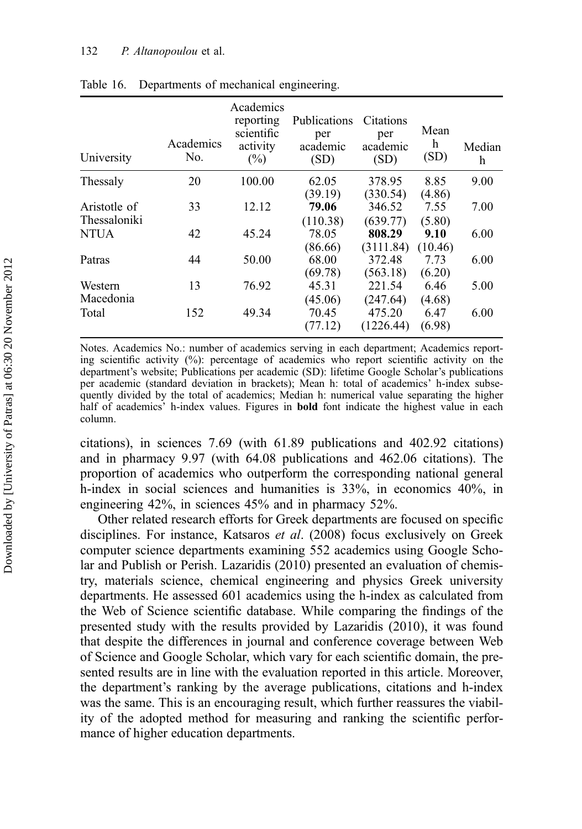#### 132 P. Altanopoulou et al.

| University   | Academics<br>No. | Academics<br>reporting<br>scientific<br>activity<br>$(\%)$ | Publications<br>per<br>academic<br>(SD) | Citations<br>per<br>academic<br>(SD) | Mean<br>h<br>(SD) | Median<br>h |
|--------------|------------------|------------------------------------------------------------|-----------------------------------------|--------------------------------------|-------------------|-------------|
| Thessaly     | 20               | 100.00                                                     | 62.05                                   | 378.95                               | 8.85              | 9.00        |
|              |                  |                                                            | (39.19)                                 | (330.54)                             | (4.86)            |             |
| Aristotle of | 33               | 12.12                                                      | 79.06                                   | 346.52                               | 7.55              | 7.00        |
| Thessaloniki |                  |                                                            | (110.38)                                | (639.77)                             | (5.80)            |             |
| <b>NTUA</b>  | 42               | 45.24                                                      | 78.05                                   | 808.29                               | 9.10              | 6.00        |
|              |                  |                                                            | (86.66)                                 | (3111.84)                            | (10.46)           |             |
| Patras       | 44               | 50.00                                                      | 68.00                                   | 372.48                               | 7.73              | 6.00        |
|              |                  |                                                            | (69.78)                                 | (563.18)                             | (6.20)            |             |
| Western      | 13               | 76.92                                                      | 45.31                                   | 221.54                               | 6.46              | 5.00        |
| Macedonia    |                  |                                                            | (45.06)                                 | (247.64)                             | (4.68)            |             |
| Total        | 152              | 49.34                                                      | 70.45                                   | 475.20                               | 6.47              | 6.00        |
|              |                  |                                                            | (77.12)                                 | (1226.44)                            | (6.98)            |             |

Table 16. Departments of mechanical engineering.

Notes. Academics No.: number of academics serving in each department; Academics reporting scientific activity  $(\%)$ : percentage of academics who report scientific activity on the department's website; Publications per academic (SD): lifetime Google Scholar's publications per academic (standard deviation in brackets); Mean h: total of academics' h-index subsequently divided by the total of academics; Median h: numerical value separating the higher half of academics' h-index values. Figures in bold font indicate the highest value in each column.

citations), in sciences 7.69 (with 61.89 publications and 402.92 citations) and in pharmacy 9.97 (with 64.08 publications and 462.06 citations). The proportion of academics who outperform the corresponding national general h-index in social sciences and humanities is 33%, in economics 40%, in engineering 42%, in sciences 45% and in pharmacy 52%.

Other related research efforts for Greek departments are focused on specific disciplines. For instance, Katsaros et al. (2008) focus exclusively on Greek computer science departments examining 552 academics using Google Scholar and Publish or Perish. Lazaridis (2010) presented an evaluation of chemistry, materials science, chemical engineering and physics Greek university departments. He assessed 601 academics using the h-index as calculated from the Web of Science scientific database. While comparing the findings of the presented study with the results provided by Lazaridis (2010), it was found that despite the differences in journal and conference coverage between Web of Science and Google Scholar, which vary for each scientific domain, the presented results are in line with the evaluation reported in this article. Moreover, the department's ranking by the average publications, citations and h-index was the same. This is an encouraging result, which further reassures the viability of the adopted method for measuring and ranking the scientific performance of higher education departments.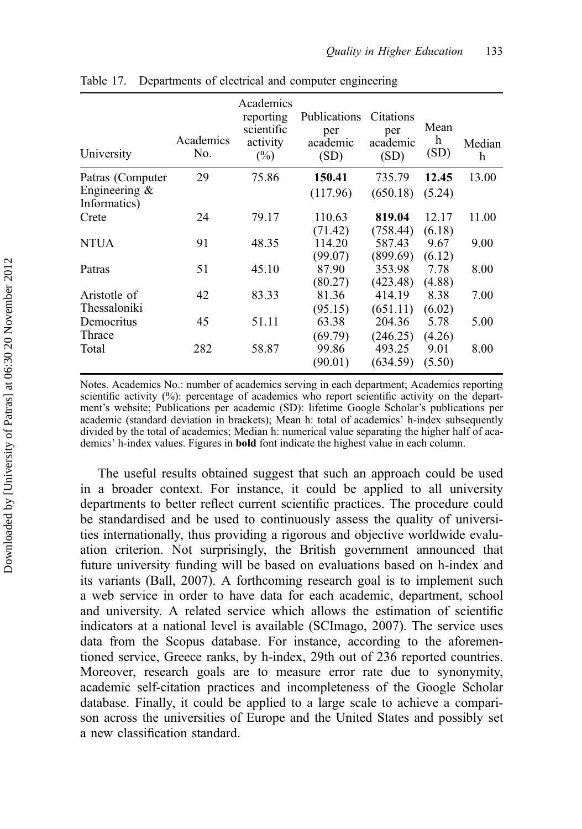| University                                          | Academics<br>No. | Academics<br>reporting<br>scientific<br>activity<br>$(\%)$ | <b>Publications</b><br>per<br>academic<br>(SD) | Citations<br>per<br>academic<br>(SD) | Mean<br>h<br>(SD) | Median<br>h |
|-----------------------------------------------------|------------------|------------------------------------------------------------|------------------------------------------------|--------------------------------------|-------------------|-------------|
| Patras (Computer<br>Engineering $&$<br>Informatics) | 29               | 75.86                                                      | 150.41<br>(117.96)                             | 735.79<br>(650.18)                   | 12.45<br>(5.24)   | 13.00       |
| Crete                                               | 24               | 79.17                                                      | 110.63<br>(71.42)                              | 819.04<br>(758.44)                   | 12.17<br>(6.18)   | 11.00       |
| <b>NTUA</b>                                         | 91               | 48.35                                                      | 114.20<br>(99.07)                              | 587.43<br>(899.69)                   | 9.67<br>(6.12)    | 9.00        |
| Patras                                              | 51               | 45.10                                                      | 87.90<br>(80.27)                               | 353.98<br>(423.48)                   | 7.78<br>(4.88)    | 8.00        |
| Aristotle of<br>Thessaloniki                        | 42               | 83.33                                                      | 81.36<br>(95.15)                               | 414.19<br>(651.11)                   | 8.38<br>(6.02)    | 7.00        |
| Democritus<br>Thrace                                | 45               | 51.11                                                      | 63.38<br>(69.79)                               | 204.36<br>(246.25)                   | 5.78<br>(4.26)    | 5.00        |
| Total                                               | 282              | 58.87                                                      | 99.86<br>(90.01)                               | 493.25<br>(634.59)                   | 9.01<br>(5.50)    | 8.00        |

Table 17. Departments of electrical and computer engineering

Notes. Academics No.: number of academics serving in each department; Academics reporting scientific activity (%): percentage of academics who report scientific activity on the department's website; Publications per academic (SD): lifetime Google Scholar's publications per academic (standard deviation in brackets); Mean h: total of academics' h-index subsequently divided by the total of academics; Median h: numerical value separating the higher half of academics' h-index values. Figures in bold font indicate the highest value in each column.

The useful results obtained suggest that such an approach could be used in a broader context. For instance, it could be applied to all university departments to better reflect current scientific practices. The procedure could be standardised and be used to continuously assess the quality of universities internationally, thus providing a rigorous and objective worldwide evaluation criterion. Not surprisingly, the British government announced that future university funding will be based on evaluations based on h-index and its variants (Ball, 2007). A forthcoming research goal is to implement such a web service in order to have data for each academic, department, school and university. A related service which allows the estimation of scientific indicators at a national level is available (SCImago, 2007). The service uses data from the Scopus database. For instance, according to the aforementioned service, Greece ranks, by h-index, 29th out of 236 reported countries. Moreover, research goals are to measure error rate due to synonymity, academic self-citation practices and incompleteness of the Google Scholar database. Finally, it could be applied to a large scale to achieve a comparison across the universities of Europe and the United States and possibly set a new classification standard.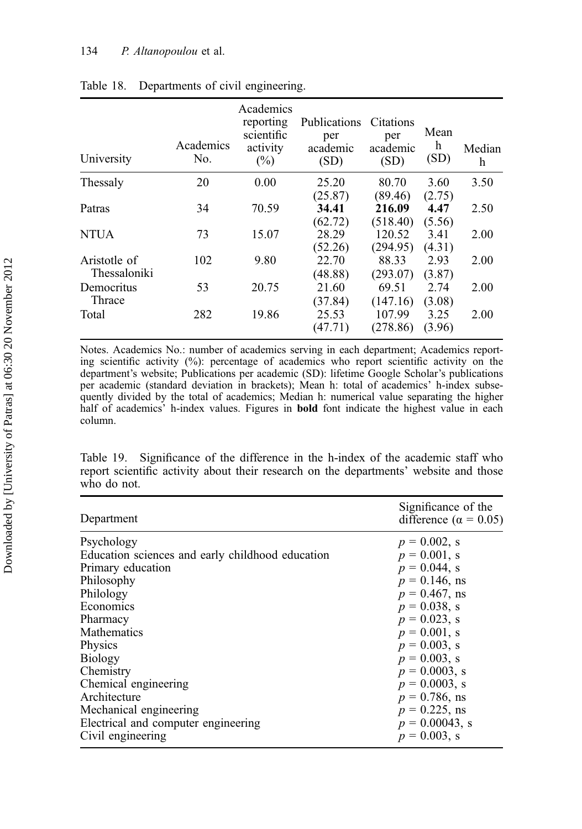## 134 P. Altanopoulou et al.

| University   | Academics<br>No. | Academics<br>reporting<br>scientific<br>activity<br>$(\%)$ | Publications<br>per<br>academic<br>(SD) | Citations<br>per<br>academic<br>(SD) | Mean<br>h<br>(SD) | Median<br>h |
|--------------|------------------|------------------------------------------------------------|-----------------------------------------|--------------------------------------|-------------------|-------------|
| Thessaly     | 20               | 0.00                                                       | 25.20                                   | 80.70                                | 3.60              | 3.50        |
|              |                  |                                                            | (25.87)                                 | (89.46)                              | (2.75)            |             |
| Patras       | 34               | 70.59                                                      | 34.41                                   | 216.09                               | 4.47              | 2.50        |
|              |                  |                                                            | (62.72)                                 | (518.40)                             | (5.56)            |             |
| NTUA         | 73               | 15.07                                                      | 28.29                                   | 120.52                               | 3.41              | 2.00        |
|              |                  |                                                            | (52.26)                                 | (294.95)                             | (4.31)            |             |
| Aristotle of | 102              | 9.80                                                       | 22.70                                   | 88.33                                | 2.93              | 2.00        |
| Thessaloniki |                  |                                                            | (48.88)                                 | (293.07)                             | (3.87)            |             |
| Democritus   | 53               | 20.75                                                      | 21.60                                   | 69.51                                | 2.74              | 2.00        |
| Thrace       |                  |                                                            | (37.84)                                 | (147.16)                             | (3.08)            |             |
| Total        | 282              | 19.86                                                      | 25.53                                   | 107.99                               | 3.25              | 2.00        |
|              |                  |                                                            | (47.71)                                 | (278.86)                             | (3.96)            |             |

## Table 18. Departments of civil engineering.

Notes. Academics No.: number of academics serving in each department; Academics reporting scientific activity  $(\%)$ : percentage of academics who report scientific activity on the department's website; Publications per academic (SD): lifetime Google Scholar's publications per academic (standard deviation in brackets); Mean h: total of academics' h-index subsequently divided by the total of academics; Median h: numerical value separating the higher half of academics' h-index values. Figures in bold font indicate the highest value in each column.

Table 19. Significance of the difference in the h-index of the academic staff who report scientific activity about their research on the departments' website and those who do not.

| Department                                       | Significance of the<br>difference ( $\alpha = 0.05$ ) |
|--------------------------------------------------|-------------------------------------------------------|
| Psychology                                       | $p = 0.002$ , s                                       |
| Education sciences and early childhood education | $p = 0.001$ , s                                       |
| Primary education                                | $p = 0.044$ , s                                       |
| Philosophy                                       | $p = 0.146$ , ns                                      |
| Philology                                        | $p = 0.467$ , ns                                      |
| Economics                                        | $p = 0.038$ , s                                       |
| Pharmacy                                         | $p = 0.023$ , s                                       |
| <b>Mathematics</b>                               | $p = 0.001$ , s                                       |
| Physics                                          | $p = 0.003$ , s                                       |
| <b>Biology</b>                                   | $p = 0.003$ , s                                       |
| Chemistry                                        | $p = 0.0003$ , s                                      |
| Chemical engineering                             | $p = 0.0003$ , s                                      |
| Architecture                                     | $p = 0.786$ , ns                                      |
| Mechanical engineering                           | $p = 0.225$ , ns                                      |
| Electrical and computer engineering              | $p = 0.00043$ , s                                     |
| Civil engineering                                | $p = 0.003$ , s                                       |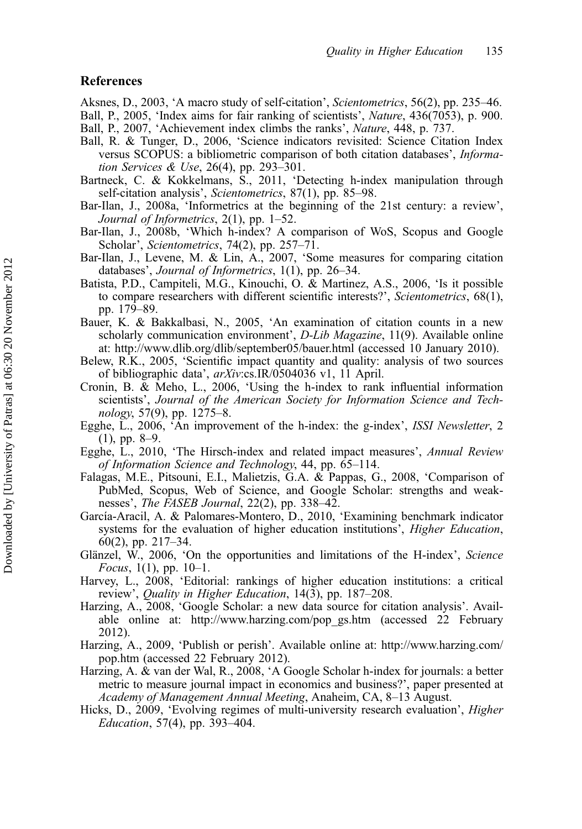## References

Aksnes, D., 2003, 'A macro study of self-citation', Scientometrics, 56(2), pp. 235–46. Ball, P., 2005, 'Index aims for fair ranking of scientists', Nature, 436(7053), p. 900. Ball, P., 2007, 'Achievement index climbs the ranks', *Nature*, 448, p. 737.

- 
- Ball, R. & Tunger, D., 2006, 'Science indicators revisited: Science Citation Index versus SCOPUS: a bibliometric comparison of both citation databases', Information Services & Use, 26(4), pp. 293–301.
- Bartneck, C. & Kokkelmans, S., 2011, 'Detecting h-index manipulation through self-citation analysis', Scientometrics, 87(1), pp. 85–98.
- Bar-Ilan, J., 2008a, 'Informetrics at the beginning of the 21st century: a review', Journal of Informetrics, 2(1), pp. 1–52.
- Bar-Ilan, J., 2008b, 'Which h-index? A comparison of WoS, Scopus and Google Scholar', Scientometrics, 74(2), pp. 257-71.
- Bar-Ilan, J., Levene, M. & Lin, A., 2007, 'Some measures for comparing citation databases', Journal of Informetrics, 1(1), pp. 26–34.
- Batista, P.D., Campiteli, M.G., Kinouchi, O. & Martinez, A.S., 2006, 'Is it possible to compare researchers with different scientific interests?', Scientometrics, 68(1), pp. 179–89.
- Bauer, K. & Bakkalbasi, N., 2005, 'An examination of citation counts in a new scholarly communication environment', *D-Lib Magazine*, 11(9). Available online at:<http://www.dlib.org/dlib/september05/bauer.html> (accessed 10 January 2010).
- Belew, R.K., 2005, 'Scientific impact quantity and quality: analysis of two sources of bibliographic data', arXiv:cs.IR/0504036 v1, 11 April.
- Cronin, B. & Meho, L., 2006, 'Using the h-index to rank influential information scientists', Journal of the American Society for Information Science and Technology, 57(9), pp. 1275–8.
- Egghe, L., 2006, 'An improvement of the h-index: the g-index', ISSI Newsletter, 2 (1), pp. 8–9.
- Egghe, L., 2010, 'The Hirsch-index and related impact measures', Annual Review of Information Science and Technology, 44, pp. 65–114.
- Falagas, M.E., Pitsouni, E.I., Malietzis, G.A. & Pappas, G., 2008, 'Comparison of PubMed, Scopus, Web of Science, and Google Scholar: strengths and weaknesses', *The FASEB Journal*, 22(2), pp. 338–42.
- García-Aracil, A. & Palomares-Montero, D., 2010, 'Examining benchmark indicator systems for the evaluation of higher education institutions', *Higher Education*, 60(2), pp. 217–34.
- Glänzel, W., 2006, 'On the opportunities and limitations of the H-index', Science Focus,  $1(1)$ , pp.  $10-1$ .
- Harvey, L., 2008, 'Editorial: rankings of higher education institutions: a critical review', Quality in Higher Education, 14(3), pp. 187–208.
- Harzing, A., 2008, 'Google Scholar: a new data source for citation analysis'. Available online at: [http://www.harzing.com/pop\\_gs.htm](http://www.harzing.com/pop_gs.htm) (accessed 22 February 2012).
- Harzing, A., 2009, 'Publish or perish'. Available online at: [http://www.harzing.com/](http://www.harzing.com/pop.htm) [pop.htm](http://www.harzing.com/pop.htm) (accessed 22 February 2012).
- Harzing, A. & van der Wal, R., 2008, 'A Google Scholar h-index for journals: a better metric to measure journal impact in economics and business?', paper presented at Academy of Management Annual Meeting, Anaheim, CA, 8–13 August.
- Hicks, D., 2009, 'Evolving regimes of multi-university research evaluation', Higher Education, 57(4), pp. 393–404.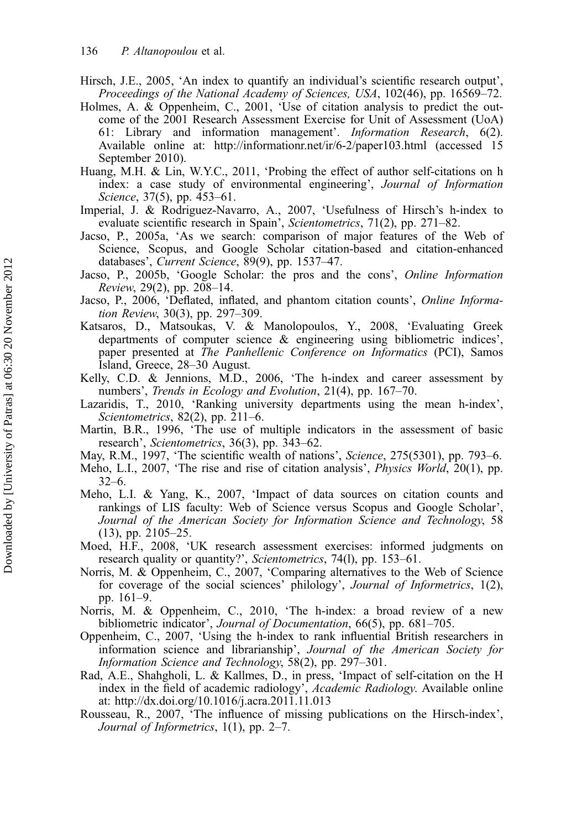- Hirsch, J.E., 2005, 'An index to quantify an individual's scientific research output', Proceedings of the National Academy of Sciences, USA, 102(46), pp. 16569–72.
- Holmes, A. & Oppenheim, C., 2001, 'Use of citation analysis to predict the outcome of the 2001 Research Assessment Exercise for Unit of Assessment (UoA) 61: Library and information management'. Information Research, 6(2). Available online at:<http://informationr.net/ir/6-2/paper103.html> (accessed 15 September 2010).
- Huang, M.H. & Lin, W.Y.C., 2011, 'Probing the effect of author self-citations on h index: a case study of environmental engineering', Journal of Information Science, 37(5), pp. 453–61.
- Imperial, J. & Rodriguez-Navarro, A., 2007, 'Usefulness of Hirsch's h-index to evaluate scientific research in Spain', Scientometrics, 71(2), pp. 271–82.
- Jacso, P., 2005a, 'As we search: comparison of major features of the Web of Science, Scopus, and Google Scholar citation-based and citation-enhanced databases', Current Science, 89(9), pp. 1537–47.
- Jacso, P., 2005b, 'Google Scholar: the pros and the cons', Online Information Review, 29(2), pp. 208–14.
- Jacso, P., 2006, 'Deflated, inflated, and phantom citation counts', Online Information Review, 30(3), pp. 297–309.
- Katsaros, D., Matsoukas, V. & Manolopoulos, Y., 2008, 'Evaluating Greek departments of computer science & engineering using bibliometric indices', paper presented at The Panhellenic Conference on Informatics (PCI), Samos Island, Greece, 28–30 August.
- Kelly, C.D. & Jennions, M.D., 2006, 'The h-index and career assessment by numbers', Trends in Ecology and Evolution, 21(4), pp. 167–70.
- Lazaridis, T., 2010, 'Ranking university departments using the mean h-index', Scientometrics, 82(2), pp. 211–6.
- Martin, B.R., 1996, 'The use of multiple indicators in the assessment of basic research', Scientometrics, 36(3), pp. 343–62.
- May, R.M., 1997, 'The scientific wealth of nations', Science, 275(5301), pp. 793–6.
- Meho, L.I., 2007, 'The rise and rise of citation analysis', Physics World, 20(1), pp. 32–6.
- Meho, L.I. & Yang, K., 2007, 'Impact of data sources on citation counts and rankings of LIS faculty: Web of Science versus Scopus and Google Scholar', Journal of the American Society for Information Science and Technology, 58 (13), pp. 2105–25.
- Moed, H.F., 2008, 'UK research assessment exercises: informed judgments on research quality or quantity?', Scientometrics, 74(l), pp. 153–61.
- Norris, M. & Oppenheim, C., 2007, 'Comparing alternatives to the Web of Science for coverage of the social sciences' philology', Journal of Informetrics, 1(2), pp. 161–9.
- Norris, M. & Oppenheim, C., 2010, 'The h-index: a broad review of a new bibliometric indicator', Journal of Documentation, 66(5), pp. 681-705.
- Oppenheim, C., 2007, 'Using the h-index to rank influential British researchers in information science and librarianship', Journal of the American Society for Information Science and Technology, 58(2), pp. 297–301.
- Rad, A.E., Shahgholi, L. & Kallmes, D., in press, 'Impact of self-citation on the H index in the field of academic radiology', Academic Radiology. Available online at:<http://dx.doi.org/10.1016/j.acra.2011.11.013>
- Rousseau, R., 2007, 'The influence of missing publications on the Hirsch-index', Journal of Informetrics, 1(1), pp. 2–7.